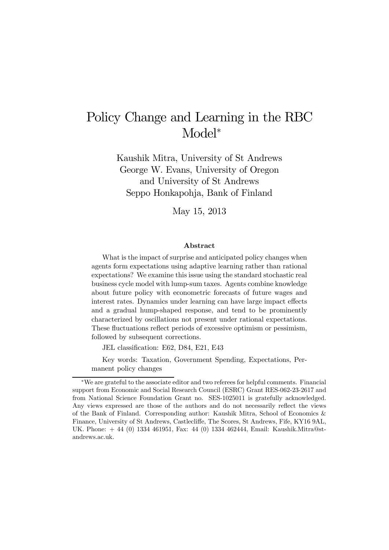# Policy Change and Learning in the RBC Model<sup>∗</sup>

Kaushik Mitra, University of St Andrews George W. Evans, University of Oregon and University of St Andrews Seppo Honkapohja, Bank of Finland

May 15, 2013

#### Abstract

What is the impact of surprise and anticipated policy changes when agents form expectations using adaptive learning rather than rational expectations? We examine this issue using the standard stochastic real business cycle model with lump-sum taxes. Agents combine knowledge about future policy with econometric forecasts of future wages and interest rates. Dynamics under learning can have large impact effects and a gradual hump-shaped response, and tend to be prominently characterized by oscillations not present under rational expectations. These fluctuations reflect periods of excessive optimism or pessimism, followed by subsequent corrections.

JEL classification: E62, D84, E21, E43

Key words: Taxation, Government Spending, Expectations, Permanent policy changes

<sup>∗</sup>We are grateful to the associate editor and two referees for helpful comments. Financial support from Economic and Social Research Council (ESRC) Grant RES-062-23-2617 and from National Science Foundation Grant no. SES-1025011 is gratefully acknowledged. Any views expressed are those of the authors and do not necessarily reflect the views of the Bank of Finland. Corresponding author: Kaushik Mitra, School of Economics & Finance, University of St Andrews, Castlecliffe, The Scores, St Andrews, Fife, KY16 9AL, UK. Phone: + 44 (0) 1334 461951, Fax: 44 (0) 1334 462444, Email: Kaushik.Mitra@standrews.ac.uk.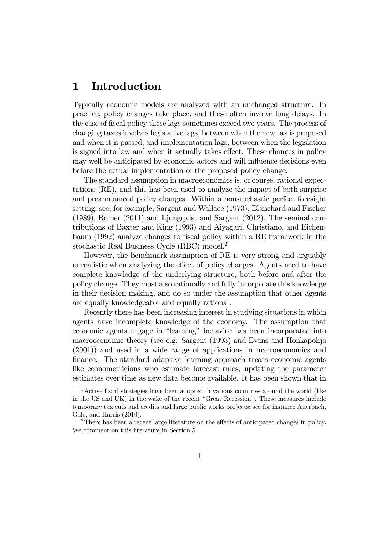## 1 Introduction

Typically economic models are analyzed with an unchanged structure. In practice, policy changes take place, and these often involve long delays. In the case of fiscal policy these lags sometimes exceed two years. The process of changing taxes involves legislative lags, between when the new tax is proposed and when it is passed, and implementation lags, between when the legislation is signed into law and when it actually takes effect. These changes in policy may well be anticipated by economic actors and will influence decisions even before the actual implementation of the proposed policy change.<sup>1</sup>

The standard assumption in macroeconomics is, of course, rational expectations (RE), and this has been used to analyze the impact of both surprise and preannounced policy changes. Within a nonstochastic perfect foresight setting, see, for example, Sargent and Wallace (1973), Blanchard and Fischer (1989), Romer (2011) and Ljungqvist and Sargent (2012). The seminal contributions of Baxter and King (1993) and Aiyagari, Christiano, and Eichenbaum (1992) analyze changes to fiscal policy within a RE framework in the stochastic Real Business Cycle (RBC) model.2

However, the benchmark assumption of RE is very strong and arguably unrealistic when analyzing the effect of policy changes. Agents need to have complete knowledge of the underlying structure, both before and after the policy change. They must also rationally and fully incorporate this knowledge in their decision making, and do so under the assumption that other agents are equally knowledgeable and equally rational.

Recently there has been increasing interest in studying situations in which agents have incomplete knowledge of the economy. The assumption that economic agents engage in "learning" behavior has been incorporated into macroeconomic theory (see e.g. Sargent (1993) and Evans and Honkapohja (2001)) and used in a wide range of applications in macroeconomics and finance. The standard adaptive learning approach treats economic agents like econometricians who estimate forecast rules, updating the parameter estimates over time as new data become available. It has been shown that in

<sup>&</sup>lt;sup>1</sup>Active fiscal strategies have been adopted in various countries around the world (like in the US and UK) in the wake of the recent "Great Recession". These measures include temporary tax cuts and credits and large public works projects; see for instance Auerbach, Gale, and Harris (2010).

<sup>2</sup>There has been a recent large literature on the effects of anticipated changes in policy. We comment on this literature in Section 5.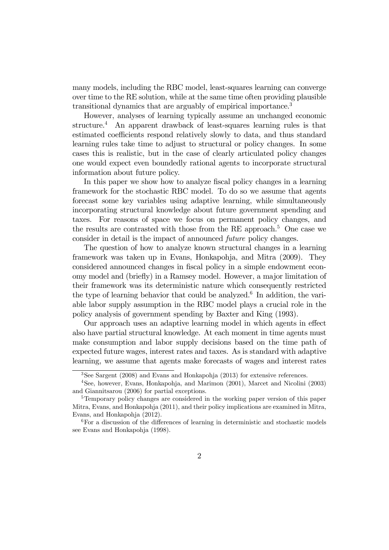many models, including the RBC model, least-squares learning can converge over time to the RE solution, while at the same time often providing plausible transitional dynamics that are arguably of empirical importance.3

However, analyses of learning typically assume an unchanged economic structure.<sup>4</sup> An apparent drawback of least-squares learning rules is that estimated coefficients respond relatively slowly to data, and thus standard learning rules take time to adjust to structural or policy changes. In some cases this is realistic, but in the case of clearly articulated policy changes one would expect even boundedly rational agents to incorporate structural information about future policy.

In this paper we show how to analyze fiscal policy changes in a learning framework for the stochastic RBC model. To do so we assume that agents forecast some key variables using adaptive learning, while simultaneously incorporating structural knowledge about future government spending and taxes. For reasons of space we focus on permanent policy changes, and the results are contrasted with those from the RE approach.<sup>5</sup> One case we consider in detail is the impact of announced future policy changes.

The question of how to analyze known structural changes in a learning framework was taken up in Evans, Honkapohja, and Mitra (2009). They considered announced changes in fiscal policy in a simple endowment economy model and (briefly) in a Ramsey model. However, a major limitation of their framework was its deterministic nature which consequently restricted the type of learning behavior that could be analyzed.<sup>6</sup> In addition, the variable labor supply assumption in the RBC model plays a crucial role in the policy analysis of government spending by Baxter and King (1993).

Our approach uses an adaptive learning model in which agents in effect also have partial structural knowledge. At each moment in time agents must make consumption and labor supply decisions based on the time path of expected future wages, interest rates and taxes. As is standard with adaptive learning, we assume that agents make forecasts of wages and interest rates

<sup>3</sup>See Sargent (2008) and Evans and Honkapohja (2013) for extensive references.

<sup>4</sup>See, however, Evans, Honkapohja, and Marimon (2001), Marcet and Nicolini (2003) and Giannitsarou (2006) for partial exceptions.

<sup>5</sup>Temporary policy changes are considered in the working paper version of this paper Mitra, Evans, and Honkapohja (2011), and their policy implications are examined in Mitra, Evans, and Honkapohja (2012).

<sup>6</sup>For a discussion of the differences of learning in deterministic and stochastic models see Evans and Honkapohja (1998).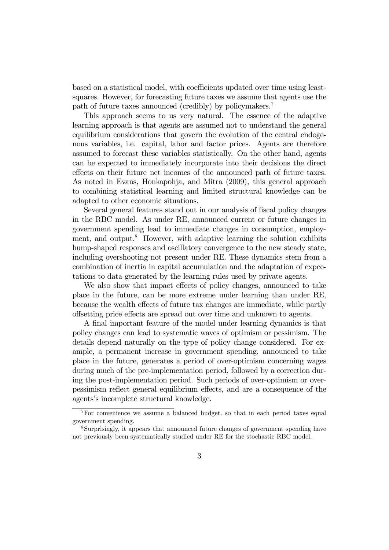based on a statistical model, with coefficients updated over time using leastsquares. However, for forecasting future taxes we assume that agents use the path of future taxes announced (credibly) by policymakers.7

This approach seems to us very natural. The essence of the adaptive learning approach is that agents are assumed not to understand the general equilibrium considerations that govern the evolution of the central endogenous variables, i.e. capital, labor and factor prices. Agents are therefore assumed to forecast these variables statistically. On the other hand, agents can be expected to immediately incorporate into their decisions the direct effects on their future net incomes of the announced path of future taxes. As noted in Evans, Honkapohja, and Mitra (2009), this general approach to combining statistical learning and limited structural knowledge can be adapted to other economic situations.

Several general features stand out in our analysis of fiscal policy changes in the RBC model. As under RE, announced current or future changes in government spending lead to immediate changes in consumption, employment, and output.<sup>8</sup> However, with adaptive learning the solution exhibits hump-shaped responses and oscillatory convergence to the new steady state, including overshooting not present under RE. These dynamics stem from a combination of inertia in capital accumulation and the adaptation of expectations to data generated by the learning rules used by private agents.

We also show that impact effects of policy changes, announced to take place in the future, can be more extreme under learning than under RE, because the wealth effects of future tax changes are immediate, while partly offsetting price effects are spread out over time and unknown to agents.

A final important feature of the model under learning dynamics is that policy changes can lead to systematic waves of optimism or pessimism. The details depend naturally on the type of policy change considered. For example, a permanent increase in government spending, announced to take place in the future, generates a period of over-optimism concerning wages during much of the pre-implementation period, followed by a correction during the post-implementation period. Such periods of over-optimism or overpessimism reflect general equilibrium effects, and are a consequence of the agents's incomplete structural knowledge.

<sup>&</sup>lt;sup>7</sup>For convenience we assume a balanced budget, so that in each period taxes equal government spending.

<sup>8</sup>Surprisingly, it appears that announced future changes of government spending have not previously been systematically studied under RE for the stochastic RBC model.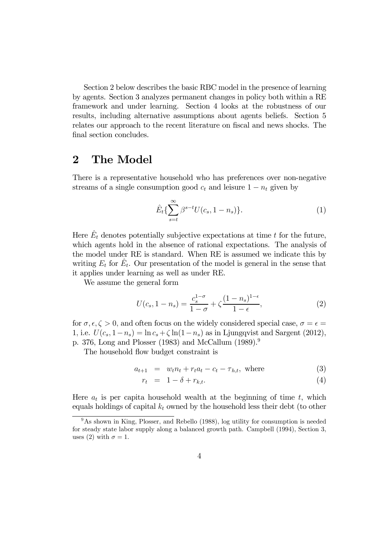Section 2 below describes the basic RBC model in the presence of learning by agents. Section 3 analyzes permanent changes in policy both within a RE framework and under learning. Section 4 looks at the robustness of our results, including alternative assumptions about agents beliefs. Section 5 relates our approach to the recent literature on fiscal and news shocks. The final section concludes.

## 2 The Model

There is a representative household who has preferences over non-negative streams of a single consumption good  $c_t$  and leisure  $1 - n_t$  given by

$$
\hat{E}_t \{ \sum_{s=t}^{\infty} \beta^{s-t} U(c_s, 1 - n_s) \}.
$$
\n(1)

Here  $\hat{E}_t$  denotes potentially subjective expectations at time  $t$  for the future, which agents hold in the absence of rational expectations. The analysis of the model under RE is standard. When RE is assumed we indicate this by writing  $E_t$  for  $\hat{E}_t$ . Our presentation of the model is general in the sense that it applies under learning as well as under RE.

We assume the general form

$$
U(c_s, 1 - n_s) = \frac{c_s^{1-\sigma}}{1-\sigma} + \zeta \frac{(1-n_s)^{1-\epsilon}}{1-\epsilon},
$$
\n(2)

for  $\sigma, \epsilon, \zeta > 0$ , and often focus on the widely considered special case,  $\sigma = \epsilon =$ 1, i.e.  $U(c_s, 1-n_s) = \ln c_s + \zeta \ln(1-n_s)$  as in Ljungqvist and Sargent (2012), p. 376, Long and Plosser (1983) and McCallum (1989).9

The household flow budget constraint is

$$
a_{t+1} = w_t n_t + r_t a_t - c_t - \tau_{h,t}, \text{ where } (3)
$$

$$
r_t = 1 - \delta + r_{k,t}.\tag{4}
$$

Here  $a_t$  is per capita household wealth at the beginning of time t, which equals holdings of capital  $k_t$  owned by the household less their debt (to other

<sup>&</sup>lt;sup>9</sup>As shown in King, Plosser, and Rebello (1988), log utility for consumption is needed for steady state labor supply along a balanced growth path. Campbell (1994), Section 3, uses (2) with  $\sigma = 1$ .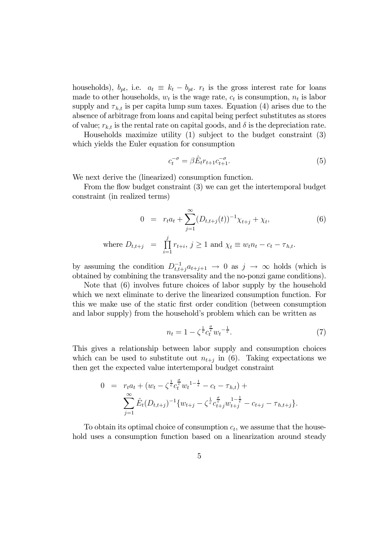households),  $b_{pt}$ , i.e.  $a_t \equiv k_t - b_{pt}$ .  $r_t$  is the gross interest rate for loans made to other households,  $w_t$  is the wage rate,  $c_t$  is consumption,  $n_t$  is labor supply and  $\tau_{h,t}$  is per capita lump sum taxes. Equation (4) arises due to the absence of arbitrage from loans and capital being perfect substitutes as stores of value;  $r_{k,t}$  is the rental rate on capital goods, and  $\delta$  is the depreciation rate.

Households maximize utility (1) subject to the budget constraint (3) which yields the Euler equation for consumption

$$
c_t^{-\sigma} = \beta \hat{E}_t r_{t+1} c_{t+1}^{-\sigma}.
$$
\n<sup>(5)</sup>

We next derive the (linearized) consumption function.

From the flow budget constraint (3) we can get the intertemporal budget constraint (in realized terms)

$$
0 = r_t a_t + \sum_{j=1}^{\infty} (D_{t,t+j}(t))^{-1} \chi_{t+j} + \chi_t,
$$
  
where  $D_{t,t+j} = \prod_{i=1}^{j} r_{t+i}, j \ge 1$  and  $\chi_t \equiv w_t n_t - c_t - \tau_{h,t}.$  (6)

by assuming the condition  $D_{t,t+j}^{-1}a_{t+j+1} \to 0$  as  $j \to \infty$  holds (which is obtained by combining the transversality and the no-ponzi game conditions).

Note that (6) involves future choices of labor supply by the household which we next eliminate to derive the linearized consumption function. For this we make use of the static first order condition (between consumption and labor supply) from the household's problem which can be written as

$$
n_t = 1 - \zeta^{\frac{1}{\epsilon}} c_t^{\frac{\sigma}{\epsilon}} w_t^{-\frac{1}{\epsilon}}.
$$
\n<sup>(7)</sup>

This gives a relationship between labor supply and consumption choices which can be used to substitute out  $n_{t+j}$  in (6). Taking expectations we then get the expected value intertemporal budget constraint

$$
0 = r_t a_t + (w_t - \zeta^{\frac{1}{\epsilon}} c_t^{\frac{\sigma}{\epsilon}} w_t^{1-\frac{1}{\epsilon}} - c_t - \tau_{h,t}) +
$$
  

$$
\sum_{j=1}^{\infty} \hat{E}_t (D_{t,t+j})^{-1} \{w_{t+j} - \zeta^{\frac{1}{\epsilon}} c_{t+j}^{\frac{\sigma}{\epsilon}} w_{t+j}^{1-\frac{1}{\epsilon}} - c_{t+j} - \tau_{h,t+j}\}.
$$

To obtain its optimal choice of consumption  $c_t$ , we assume that the household uses a consumption function based on a linearization around steady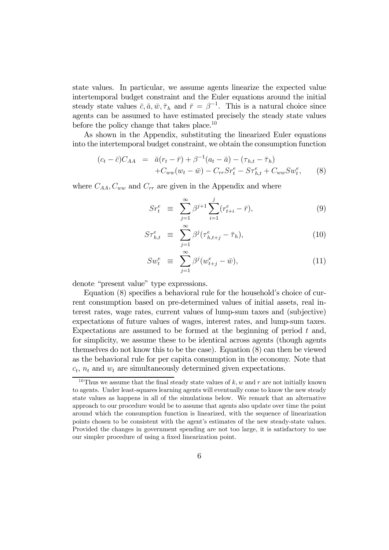state values. In particular, we assume agents linearize the expected value intertemporal budget constraint and the Euler equations around the initial steady state values  $\bar{c}, \bar{a}, \bar{w}, \bar{\tau}_h$  and  $\bar{r} = \beta^{-1}$ . This is a natural choice since agents can be assumed to have estimated precisely the steady state values before the policy change that takes place.<sup>10</sup>

As shown in the Appendix, substituting the linearized Euler equations into the intertemporal budget constraint, we obtain the consumption function

$$
(c_t - \bar{c})C_{AA} = \bar{a}(r_t - \bar{r}) + \beta^{-1}(a_t - \bar{a}) - (\tau_{h,t} - \bar{\tau}_h) + C_{ww}(w_t - \bar{w}) - C_{rr}Sr_t^e - S\tau_{h,t}^e + C_{ww}Sw_t^e,
$$
(8)

where  $C_{AA}$ ,  $C_{ww}$  and  $C_{rr}$  are given in the Appendix and where

$$
Sr_t^e \equiv \sum_{j=1}^{\infty} \beta^{j+1} \sum_{i=1}^j (r_{t+i}^e - \bar{r}), \tag{9}
$$

$$
S\tau_{h,t}^e \equiv \sum_{j=1}^{\infty} \beta^j (\tau_{h,t+j}^e - \bar{\tau}_h), \qquad (10)
$$

$$
Sw_t^e \equiv \sum_{j=1}^{\infty} \beta^j (w_{t+j}^e - \bar{w}), \qquad (11)
$$

denote "present value" type expressions.

Equation (8) specifies a behavioral rule for the household's choice of current consumption based on pre-determined values of initial assets, real interest rates, wage rates, current values of lump-sum taxes and (subjective) expectations of future values of wages, interest rates, and lump-sum taxes. Expectations are assumed to be formed at the beginning of period  $t$  and, for simplicity, we assume these to be identical across agents (though agents themselves do not know this to be the case). Equation (8) can then be viewed as the behavioral rule for per capita consumption in the economy. Note that  $c_t$ ,  $n_t$  and  $w_t$  are simultaneously determined given expectations.

<sup>&</sup>lt;sup>10</sup>Thus we assume that the final steady state values of  $k, w$  and  $r$  are not initially known to agents. Under least-squares learning agents will eventually come to know the new steady state values as happens in all of the simulations below. We remark that an alternative approach to our procedure would be to assume that agents also update over time the point around which the consumption function is linearized, with the sequence of linearization points chosen to be consistent with the agent's estimates of the new steady-state values. Provided the changes in government spending are not too large, it is satisfactory to use our simpler procedure of using a fixed linearization point.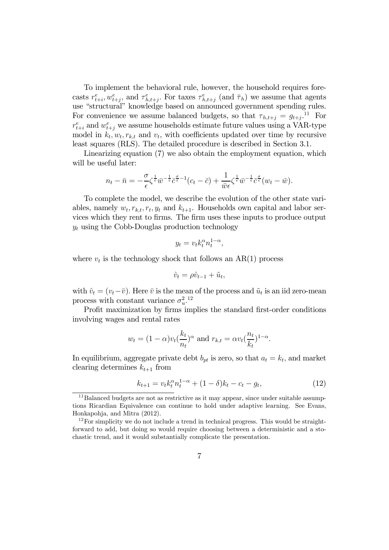To implement the behavioral rule, however, the household requires forecasts  $r_{t+i}^e, w_{t+j}^e$ , and  $\tau_{h,t+j}^e$ . For taxes  $\tau_{h,t+j}^e$  (and  $\bar{\tau}_h$ ) we assume that agents use "structural" knowledge based on announced government spending rules. For convenience we assume balanced budgets, so that  $\tau_{h,t+j} = g_{t+j}$ .<sup>11</sup> For  $r_{t+i}^e$  and  $w_{t+j}^e$  we assume households estimate future values using a VAR-type model in  $k_t, w_t, r_{k,t}$  and  $v_t$ , with coefficients updated over time by recursive least squares (RLS). The detailed procedure is described in Section 3.1.

Linearizing equation (7) we also obtain the employment equation, which will be useful later:

$$
n_t - \bar{n} = -\frac{\sigma}{\epsilon} \zeta^{\frac{1}{\epsilon}} \bar{w}^{-\frac{1}{\epsilon}} \bar{c}^{\frac{\sigma}{\epsilon}-1} (c_t - \bar{c}) + \frac{1}{\bar{w}\epsilon} \zeta^{\frac{1}{\epsilon}} \bar{w}^{-\frac{1}{\epsilon}} \bar{c}^{\frac{\sigma}{\epsilon}} (w_t - \bar{w}).
$$

To complete the model, we describe the evolution of the other state variables, namely  $w_t, r_{k,t}, r_t, y_t$  and  $k_{t+1}$ . Households own capital and labor services which they rent to firms. The firm uses these inputs to produce output  $y_t$  using the Cobb-Douglas production technology

$$
y_t = v_t k_t^{\alpha} n_t^{1-\alpha},
$$

where  $v_t$  is the technology shock that follows an AR(1) process

$$
\hat{v}_t = \rho \hat{v}_{t-1} + \tilde{u}_t,
$$

with  $\hat{v}_t = (v_t - \bar{v})$ . Here  $\bar{v}$  is the mean of the process and  $\tilde{u}_t$  is an iid zero-mean process with constant variance  $\sigma_u^2$ .<sup>12</sup>

Profit maximization by firms implies the standard first-order conditions involving wages and rental rates

$$
w_t = (1 - \alpha)v_t(\frac{k_t}{n_t})^{\alpha} \text{ and } r_{k,t} = \alpha v_t(\frac{n_t}{k_t})^{1-\alpha}.
$$

In equilibrium, aggregate private debt  $b_{pt}$  is zero, so that  $a_t = k_t$ , and market clearing determines  $k_{t+1}$  from

$$
k_{t+1} = v_t k_t^{\alpha} n_t^{1-\alpha} + (1-\delta) k_t - c_t - g_t,
$$
\n(12)

 $11$ Balanced budgets are not as restrictive as it may appear, since under suitable assumptions Ricardian Equivalence can continue to hold under adaptive learning. See Evans, Honkapohja, and Mitra (2012).

 $12$ For simplicity we do not include a trend in technical progress. This would be straightforward to add, but doing so would require choosing between a deterministic and a stochastic trend, and it would substantially complicate the presentation.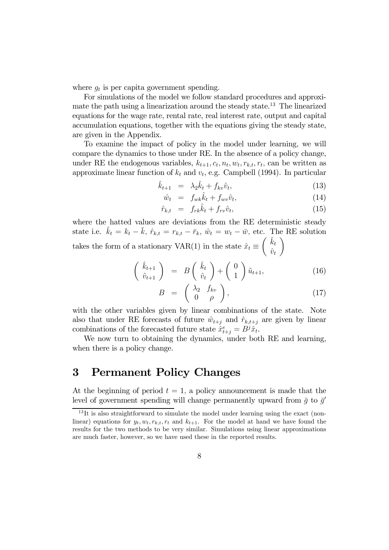where  $g_t$  is per capita government spending.

For simulations of the model we follow standard procedures and approximate the path using a linearization around the steady state.13 The linearized equations for the wage rate, rental rate, real interest rate, output and capital accumulation equations, together with the equations giving the steady state, are given in the Appendix.

To examine the impact of policy in the model under learning, we will compare the dynamics to those under RE. In the absence of a policy change, under RE the endogenous variables,  $k_{t+1}, c_t, n_t, w_t, r_{k,t}, r_t$ , can be written as approximate linear function of  $k_t$  and  $v_t$ , e.g. Campbell (1994). In particular

$$
\hat{k}_{t+1} = \lambda_2 \hat{k}_t + f_{kv} \hat{v}_t, \qquad (13)
$$

$$
\hat{w}_t = f_{wk}\hat{k}_t + f_{wv}\hat{v}_t, \tag{14}
$$

$$
\hat{r}_{k,t} = f_{rk}\hat{k}_t + f_{rv}\hat{v}_t, \tag{15}
$$

where the hatted values are deviations from the RE deterministic steady state i.e.  $\hat{k}_t = k_t - \bar{k}, \ \hat{r}_{k,t} = r_{k,t} - \bar{r}_k, \ \hat{w}_t = w_t - \bar{w}, \text{ etc.}$  The RE solution takes the form of a stationary VAR(1) in the state  $\hat{x}_t \equiv$  $\int \hat{k}_t$  $\hat{v}_t$  $\setminus$ 

$$
\begin{pmatrix}\n\hat{k}_{t+1} \\
\hat{v}_{t+1}\n\end{pmatrix} = B \begin{pmatrix}\n\hat{k}_t \\
\hat{v}_t\n\end{pmatrix} + \begin{pmatrix}\n0 \\
1\n\end{pmatrix} \tilde{u}_{t+1},
$$
\n(16)

$$
B = \begin{pmatrix} \lambda_2 & f_{kv} \\ 0 & \rho \end{pmatrix}, \tag{17}
$$

with the other variables given by linear combinations of the state. Note also that under RE forecasts of future  $\hat{w}_{t+i}$  and  $\hat{r}_{k,t+i}$  are given by linear combinations of the forecasted future state  $\hat{x}_{t+j}^e = B^j \hat{x}_t$ .

We now turn to obtaining the dynamics, under both RE and learning, when there is a policy change.

## 3 Permanent Policy Changes

At the beginning of period  $t = 1$ , a policy announcement is made that the level of government spending will change permanently upward from  $\bar{q}$  to  $\bar{q}'$ 

 $13$ It is also straightforward to simulate the model under learning using the exact (nonlinear) equations for  $y_t, w_t, r_{k,t}, r_t$  and  $k_{t+1}$ . For the model at hand we have found the results for the two methods to be very similar. Simulations using linear approximations are much faster, however, so we have used these in the reported results.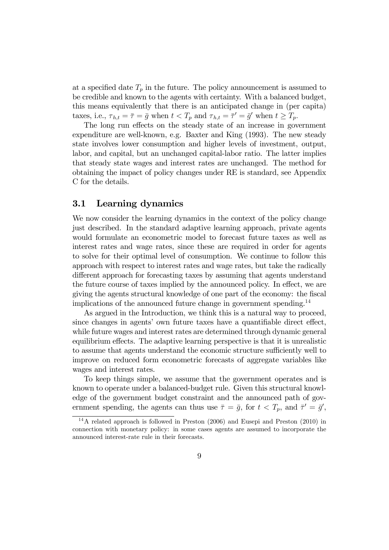at a specified date  $T_p$  in the future. The policy announcement is assumed to be credible and known to the agents with certainty. With a balanced budget, this means equivalently that there is an anticipated change in (per capita) taxes, i.e.,  $\tau_{h,t} = \overline{\tau} = \overline{g}$  when  $t < T_p$  and  $\tau_{h,t} = \overline{\tau}' = \overline{g}'$  when  $t \geq T_p$ .

The long run effects on the steady state of an increase in government expenditure are well-known, e.g. Baxter and King (1993). The new steady state involves lower consumption and higher levels of investment, output, labor, and capital, but an unchanged capital-labor ratio. The latter implies that steady state wages and interest rates are unchanged. The method for obtaining the impact of policy changes under RE is standard, see Appendix C for the details.

### 3.1 Learning dynamics

We now consider the learning dynamics in the context of the policy change just described. In the standard adaptive learning approach, private agents would formulate an econometric model to forecast future taxes as well as interest rates and wage rates, since these are required in order for agents to solve for their optimal level of consumption. We continue to follow this approach with respect to interest rates and wage rates, but take the radically different approach for forecasting taxes by assuming that agents understand the future course of taxes implied by the announced policy. In effect, we are giving the agents structural knowledge of one part of the economy: the fiscal implications of the announced future change in government spending.<sup>14</sup>

As argued in the Introduction, we think this is a natural way to proceed, since changes in agents' own future taxes have a quantifiable direct effect, while future wages and interest rates are determined through dynamic general equilibrium effects. The adaptive learning perspective is that it is unrealistic to assume that agents understand the economic structure sufficiently well to improve on reduced form econometric forecasts of aggregate variables like wages and interest rates.

To keep things simple, we assume that the government operates and is known to operate under a balanced-budget rule. Given this structural knowledge of the government budget constraint and the announced path of government spending, the agents can thus use  $\bar{\tau} = \bar{g}$ , for  $t < T_p$ , and  $\bar{\tau}' = \bar{g}'$ ,

<sup>14</sup>A related approach is followed in Preston (2006) and Eusepi and Preston (2010) in connection with monetary policy: in some cases agents are assumed to incorporate the announced interest-rate rule in their forecasts.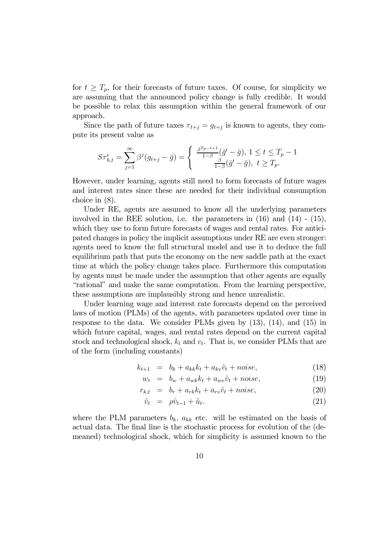for  $t \geq T_p$ , for their forecasts of future taxes. Of course, for simplicity we are assuming that the announced policy change is fully credible. It would be possible to relax this assumption within the general framework of our approach.

Since the path of future taxes  $\tau_{t+j} = g_{t+j}$  is known to agents, they compute its present value as

$$
S\tau_{h,t}^e=\sum_{j=1}^\infty\beta^j(g_{t+j}-\bar g)=\left\{\begin{array}{c}\frac{\beta^{T_p-t+1}}{1-\beta}(\bar g^\prime-\bar g),\ 1\leq t\leq T_p-1\\\frac{\beta}{1-\beta}(\bar g^\prime-\bar g),\ t\geq T_p.\end{array}\right.
$$

However, under learning, agents still need to form forecasts of future wages and interest rates since these are needed for their individual consumption choice in (8).

Under RE, agents are assumed to know all the underlying parameters involved in the REE solution, i.e. the parameters in  $(16)$  and  $(14)$  -  $(15)$ , which they use to form future forecasts of wages and rental rates. For anticipated changes in policy the implicit assumptions under RE are even stronger: agents need to know the full structural model and use it to deduce the full equilibrium path that puts the economy on the new saddle path at the exact time at which the policy change takes place. Furthermore this computation by agents must be made under the assumption that other agents are equally "rational" and make the same computation. From the learning perspective, these assumptions are implausibly strong and hence unrealistic.

Under learning wage and interest rate forecasts depend on the perceived laws of motion (PLMs) of the agents, with parameters updated over time in response to the data. We consider PLMs given by (13), (14), and (15) in which future capital, wages, and rental rates depend on the current capital stock and technological shock,  $k_t$  and  $v_t$ . That is, we consider PLMs that are of the form (including constants)

$$
k_{t+1} = b_k + a_{kk}k_t + a_{kv}\hat{v}_t + noise,
$$
\n(18)

$$
w_t = b_w + a_{wk}k_t + a_{wv}\hat{v}_t + noise,
$$
\n(19)

$$
r_{k,t} = b_r + a_{rk}k_t + a_{rv}\hat{v}_t + noise,
$$
\n(20)

$$
\hat{v}_t = \rho \hat{v}_{t-1} + \tilde{u}_t. \tag{21}
$$

where the PLM parameters  $b_k$ ,  $a_{kk}$  etc. will be estimated on the basis of actual data. The final line is the stochastic process for evolution of the (demeaned) technological shock, which for simplicity is assumed known to the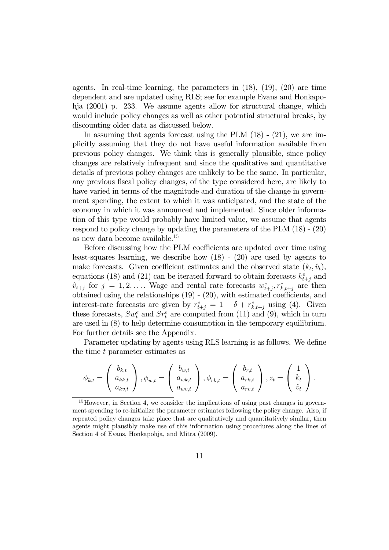agents. In real-time learning, the parameters in  $(18)$ ,  $(19)$ ,  $(20)$  are time dependent and are updated using RLS; see for example Evans and Honkapohja (2001) p. 233. We assume agents allow for structural change, which would include policy changes as well as other potential structural breaks, by discounting older data as discussed below.

In assuming that agents forecast using the PLM  $(18)$  -  $(21)$ , we are implicitly assuming that they do not have useful information available from previous policy changes. We think this is generally plausible, since policy changes are relatively infrequent and since the qualitative and quantitative details of previous policy changes are unlikely to be the same. In particular, any previous fiscal policy changes, of the type considered here, are likely to have varied in terms of the magnitude and duration of the change in government spending, the extent to which it was anticipated, and the state of the economy in which it was announced and implemented. Since older information of this type would probably have limited value, we assume that agents respond to policy change by updating the parameters of the PLM (18) - (20) as new data become available.15

Before discussing how the PLM coefficients are updated over time using least-squares learning, we describe how (18) - (20) are used by agents to make forecasts. Given coefficient estimates and the observed state  $(k_t, \hat{v}_t)$ , equations (18) and (21) can be iterated forward to obtain forecasts  $k_{t+j}^e$  and  $\hat{v}_{t+j}$  for  $j = 1, 2, \ldots$  Wage and rental rate forecasts  $w_{t+j}^e, r_{k,t+j}^e$  are then obtained using the relationships  $(19) - (20)$ , with estimated coefficients, and interest-rate forecasts are given by  $r_{t+j}^e = 1 - \delta + r_{k,t+j}^e$  using (4). Given these forecasts,  $Sw_t^e$  and  $Sr_t^e$  are computed from (11) and (9), which in turn are used in (8) to help determine consumption in the temporary equilibrium. For further details see the Appendix.

Parameter updating by agents using RLS learning is as follows. We define the time  $t$  parameter estimates as

$$
\phi_{k,t} = \begin{pmatrix} b_{k,t} \\ a_{kk,t} \\ a_{kv,t} \end{pmatrix}, \phi_{w,t} = \begin{pmatrix} b_{w,t} \\ a_{wk,t} \\ a_{wv,t} \end{pmatrix}, \phi_{rk,t} = \begin{pmatrix} b_{r,t} \\ a_{rk,t} \\ a_{rv,t} \end{pmatrix}, z_t = \begin{pmatrix} 1 \\ k_t \\ \hat{v}_t \end{pmatrix}.
$$

<sup>&</sup>lt;sup>15</sup>However, in Section 4, we consider the implications of using past changes in government spending to re-initialize the parameter estimates following the policy change. Also, if repeated policy changes take place that are qualitatively and quantitatively similar, then agents might plausibly make use of this information using procedures along the lines of Section 4 of Evans, Honkapohja, and Mitra (2009).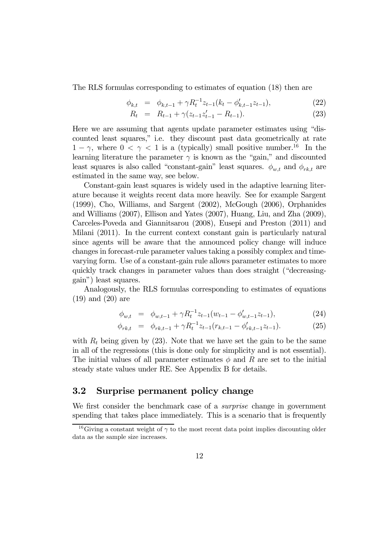The RLS formulas corresponding to estimates of equation (18) then are

$$
\phi_{k,t} = \phi_{k,t-1} + \gamma R_t^{-1} z_{t-1} (k_t - \phi'_{k,t-1} z_{t-1}), \tag{22}
$$

$$
R_t = R_{t-1} + \gamma (z_{t-1} z'_{t-1} - R_{t-1}). \tag{23}
$$

Here we are assuming that agents update parameter estimates using "discounted least squares," i.e. they discount past data geometrically at rate  $1 - \gamma$ , where  $0 < \gamma < 1$  is a (typically) small positive number.<sup>16</sup> In the learning literature the parameter  $\gamma$  is known as the "gain," and discounted least squares is also called "constant-gain" least squares.  $\phi_{w,t}$  and  $\phi_{rk,t}$  are estimated in the same way, see below.

Constant-gain least squares is widely used in the adaptive learning literature because it weights recent data more heavily. See for example Sargent (1999), Cho, Williams, and Sargent (2002), McGough (2006), Orphanides and Williams (2007), Ellison and Yates (2007), Huang, Liu, and Zha (2009), Carceles-Poveda and Giannitsarou (2008), Eusepi and Preston (2011) and Milani (2011). In the current context constant gain is particularly natural since agents will be aware that the announced policy change will induce changes in forecast-rule parameter values taking a possibly complex and timevarying form. Use of a constant-gain rule allows parameter estimates to more quickly track changes in parameter values than does straight ("decreasinggain") least squares.

Analogously, the RLS formulas corresponding to estimates of equations (19) and (20) are

$$
\phi_{w,t} = \phi_{w,t-1} + \gamma R_t^{-1} z_{t-1} (w_{t-1} - \phi'_{w,t-1} z_{t-1}), \tag{24}
$$

$$
\phi_{rk,t} = \phi_{rk,t-1} + \gamma R_t^{-1} z_{t-1} (r_{k,t-1} - \phi'_{rk,t-1} z_{t-1}). \tag{25}
$$

with  $R_t$  being given by (23). Note that we have set the gain to be the same in all of the regressions (this is done only for simplicity and is not essential). The initial values of all parameter estimates  $\phi$  and R are set to the initial steady state values under RE. See Appendix B for details.

#### 3.2 Surprise permanent policy change

We first consider the benchmark case of a *surprise* change in government spending that takes place immediately. This is a scenario that is frequently

<sup>&</sup>lt;sup>16</sup>Giving a constant weight of  $\gamma$  to the most recent data point implies discounting older data as the sample size increases.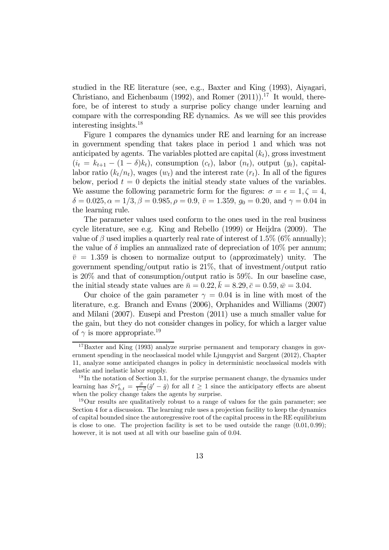studied in the RE literature (see, e.g., Baxter and King (1993), Aiyagari, Christiano, and Eichenbaum (1992), and Romer  $(2011)$ <sup>17</sup> It would, therefore, be of interest to study a surprise policy change under learning and compare with the corresponding RE dynamics. As we will see this provides interesting insights.18

Figure 1 compares the dynamics under RE and learning for an increase in government spending that takes place in period 1 and which was not anticipated by agents. The variables plotted are capital  $(k<sub>t</sub>)$ , gross investment  $(i_t = k_{t+1} - (1 - \delta)k_t)$ , consumption  $(c_t)$ , labor  $(n_t)$ , output  $(y_t)$ , capitallabor ratio  $(k_t/n_t)$ , wages  $(w_t)$  and the interest rate  $(r_t)$ . In all of the figures below, period  $t = 0$  depicts the initial steady state values of the variables. We assume the following parametric form for the figures:  $\sigma = \epsilon = 1, \zeta = 4$ ,  $\delta = 0.025, \alpha = 1/3, \beta = 0.985, \rho = 0.9, \bar{v} = 1.359, g_0 = 0.20, \text{ and } \gamma = 0.04 \text{ in}$ the learning rule.

The parameter values used conform to the ones used in the real business cycle literature, see e.g. King and Rebello (1999) or Heijdra (2009). The value of  $\beta$  used implies a quarterly real rate of interest of 1.5% (6% annually); the value of  $\delta$  implies an annualized rate of depreciation of 10% per annum;  $\bar{v} = 1.359$  is chosen to normalize output to (approximately) unity. The government spending/output ratio is  $21\%$ , that of investment/output ratio is 20% and that of consumption/output ratio is 59%. In our baseline case, the initial steady state values are  $\bar{n} = 0.22, \bar{k} = 8.29, \bar{c} = 0.59, \bar{w} = 3.04.$ 

Our choice of the gain parameter  $\gamma = 0.04$  is in line with most of the literature, e.g. Branch and Evans (2006), Orphanides and Williams (2007) and Milani (2007). Eusepi and Preston (2011) use a much smaller value for the gain, but they do not consider changes in policy, for which a larger value of  $\gamma$  is more appropriate.<sup>19</sup>

<sup>17</sup>Baxter and King (1993) analyze surprise permanent and temporary changes in government spending in the neoclassical model while Ljungqvist and Sargent (2012), Chapter 11, analyze some anticipated changes in policy in deterministic neoclassical models with elastic and inelastic labor supply.

 $18$ In the notation of Section 3.1, for the surprise permanent change, the dynamics under learning has  $S\tau_{h,t}^e = \frac{\beta}{1-\beta}(\bar{g}' - \bar{g})$  for all  $t \ge 1$  since the anticipatory effects are absent when the policy change takes the agents by surprise.

 $19$ Our results are qualitatively robust to a range of values for the gain parameter; see Section 4 for a discussion. The learning rule uses a projection facility to keep the dynamics of capital bounded since the autoregressive root of the capital process in the RE equilibrium is close to one. The projection facility is set to be used outside the range  $(0.01, 0.99)$ ; however, it is not used at all with our baseline gain of 0.04.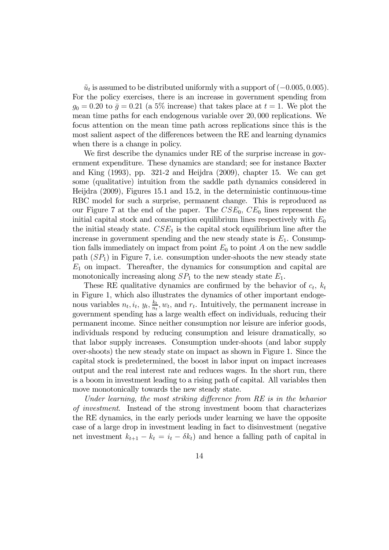$\tilde{u}_t$  is assumed to be distributed uniformly with a support of  $(-0.005, 0.005)$ . For the policy exercises, there is an increase in government spending from  $g_0 = 0.20$  to  $\bar{g} = 0.21$  (a 5% increase) that takes place at  $t = 1$ . We plot the mean time paths for each endogenous variable over 20,000 replications. We focus attention on the mean time path across replications since this is the most salient aspect of the differences between the RE and learning dynamics when there is a change in policy.

We first describe the dynamics under RE of the surprise increase in government expenditure. These dynamics are standard; see for instance Baxter and King (1993), pp. 321-2 and Heijdra (2009), chapter 15. We can get some (qualitative) intuition from the saddle path dynamics considered in Heijdra (2009), Figures 15.1 and 15.2, in the deterministic continuous-time RBC model for such a surprise, permanent change. This is reproduced as our Figure 7 at the end of the paper. The  $CSE_0$ ,  $CE_0$  lines represent the initial capital stock and consumption equilibrium lines respectively with  $E_0$ the initial steady state.  $CSE<sub>1</sub>$  is the capital stock equilibrium line after the increase in government spending and the new steady state is  $E_1$ . Consumption falls immediately on impact from point  $E_0$  to point A on the new saddle path  $(SP_1)$  in Figure 7, i.e. consumption under-shoots the new steady state  $E_1$  on impact. Thereafter, the dynamics for consumption and capital are monotonically increasing along  $SP<sub>1</sub>$  to the new steady state  $E<sub>1</sub>$ .

These RE qualitative dynamics are confirmed by the behavior of  $c_t$ ,  $k_t$ in Figure 1, which also illustrates the dynamics of other important endogenous variables  $n_t$ ,  $i_t$ ,  $y_t$ ,  $\frac{k_t}{n_t}$ ,  $w_t$ , and  $r_t$ . Intuitively, the permanent increase in government spending has a large wealth effect on individuals, reducing their permanent income. Since neither consumption nor leisure are inferior goods, individuals respond by reducing consumption and leisure dramatically, so that labor supply increases. Consumption under-shoots (and labor supply over-shoots) the new steady state on impact as shown in Figure 1. Since the capital stock is predetermined, the boost in labor input on impact increases output and the real interest rate and reduces wages. In the short run, there is a boom in investment leading to a rising path of capital. All variables then move monotonically towards the new steady state.

Under learning, the most striking difference from RE is in the behavior of investment. Instead of the strong investment boom that characterizes the RE dynamics, in the early periods under learning we have the opposite case of a large drop in investment leading in fact to disinvestment (negative net investment  $k_{t+1} - k_t = i_t - \delta k_t$  and hence a falling path of capital in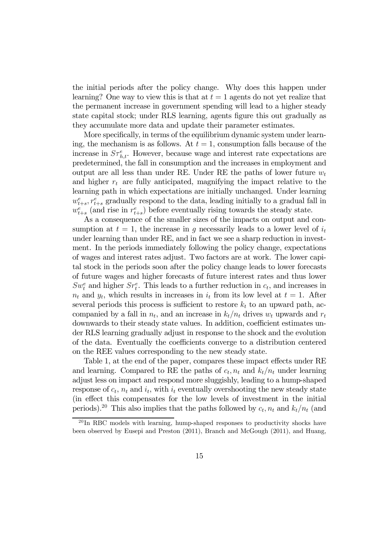the initial periods after the policy change. Why does this happen under learning? One way to view this is that at  $t = 1$  agents do not yet realize that the permanent increase in government spending will lead to a higher steady state capital stock; under RLS learning, agents figure this out gradually as they accumulate more data and update their parameter estimates.

More specifically, in terms of the equilibrium dynamic system under learning, the mechanism is as follows. At  $t = 1$ , consumption falls because of the increase in  $S_{\tau_{h,t}}^e$ . However, because wage and interest rate expectations are predetermined, the fall in consumption and the increases in employment and output are all less than under RE. Under RE the paths of lower future  $w_t$ and higher  $r_t$  are fully anticipated, magnifying the impact relative to the learning path in which expectations are initially unchanged. Under learning  $w_{t+s}^e, r_{t+s}^e$  gradually respond to the data, leading initially to a gradual fall in  $w_{t+s}^e$  (and rise in  $r_{t+s}^e$ ) before eventually rising towards the steady state.

As a consequence of the smaller sizes of the impacts on output and consumption at  $t = 1$ , the increase in g necessarily leads to a lower level of  $i_t$ under learning than under RE, and in fact we see a sharp reduction in investment. In the periods immediately following the policy change, expectations of wages and interest rates adjust. Two factors are at work. The lower capital stock in the periods soon after the policy change leads to lower forecasts of future wages and higher forecasts of future interest rates and thus lower  $Sw_t^e$  and higher  $Sr_t^e$ . This leads to a further reduction in  $c_t$ , and increases in  $n_t$  and  $y_t$ , which results in increases in  $i_t$  from its low level at  $t = 1$ . After several periods this process is sufficient to restore  $k_t$  to an upward path, accompanied by a fall in  $n_t$ , and an increase in  $k_t/n_t$  drives  $w_t$  upwards and  $r_t$ downwards to their steady state values. In addition, coefficient estimates under RLS learning gradually adjust in response to the shock and the evolution of the data. Eventually the coefficients converge to a distribution centered on the REE values corresponding to the new steady state.

Table 1, at the end of the paper, compares these impact effects under RE and learning. Compared to RE the paths of  $c_t$ ,  $n_t$  and  $k_t/n_t$  under learning adjust less on impact and respond more sluggishly, leading to a hump-shaped response of  $c_t$ ,  $n_t$  and  $i_t$ , with  $i_t$  eventually overshooting the new steady state (in effect this compensates for the low levels of investment in the initial periods).<sup>20</sup> This also implies that the paths followed by  $c_t$ ,  $n_t$  and  $k_t/n_t$  (and

 $^{20}$ In RBC models with learning, hump-shaped responses to productivity shocks have been observed by Eusepi and Preston (2011), Branch and McGough (2011), and Huang,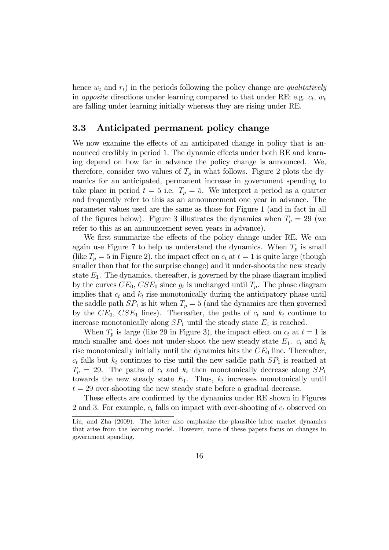hence  $w_t$  and  $r_t$ ) in the periods following the policy change are qualitatively in opposite directions under learning compared to that under RE; e.g.  $c_t$ ,  $w_t$ are falling under learning initially whereas they are rising under RE.

#### 3.3 Anticipated permanent policy change

We now examine the effects of an anticipated change in policy that is announced credibly in period 1. The dynamic effects under both RE and learning depend on how far in advance the policy change is announced. We, therefore, consider two values of  $T_p$  in what follows. Figure 2 plots the dynamics for an anticipated, permanent increase in government spending to take place in period  $t = 5$  i.e.  $T_p = 5$ . We interpret a period as a quarter and frequently refer to this as an announcement one year in advance. The parameter values used are the same as those for Figure 1 (and in fact in all of the figures below). Figure 3 illustrates the dynamics when  $T_p = 29$  (we refer to this as an announcement seven years in advance).

We first summarize the effects of the policy change under RE. We can again use Figure 7 to help us understand the dynamics. When  $T_p$  is small (like  $T_p = 5$  in Figure 2), the impact effect on  $c_t$  at  $t = 1$  is quite large (though smaller than that for the surprise change) and it under-shoots the new steady state  $E_1$ . The dynamics, thereafter, is governed by the phase diagram implied by the curves  $CE_0$ ,  $CSE_0$  since  $g_t$  is unchanged until  $T_p$ . The phase diagram implies that  $c_t$  and  $k_t$  rise monotonically during the anticipatory phase until the saddle path  $SP_1$  is hit when  $T_p = 5$  (and the dynamics are then governed by the  $CE_0$ ,  $CSE_1$  lines). Thereafter, the paths of  $c_t$  and  $k_t$  continue to increase monotonically along  $SP<sub>1</sub>$  until the steady state  $E<sub>1</sub>$  is reached.

When  $T_p$  is large (like 29 in Figure 3), the impact effect on  $c_t$  at  $t = 1$  is much smaller and does not under-shoot the new steady state  $E_1$ .  $c_t$  and  $k_t$ rise monotonically initially until the dynamics hits the  $CE<sub>0</sub>$  line. Thereafter,  $c_t$  falls but  $k_t$  continues to rise until the new saddle path  $SP_1$  is reached at  $T_p = 29$ . The paths of  $c_t$  and  $k_t$  then monotonically decrease along  $SP_1$ towards the new steady state  $E_1$ . Thus,  $k_t$  increases monotonically until  $t = 29$  over-shooting the new steady state before a gradual decrease.

These effects are confirmed by the dynamics under RE shown in Figures 2 and 3. For example,  $c_t$  falls on impact with over-shooting of  $c_t$  observed on

Liu, and Zha (2009). The latter also emphasize the plausible labor market dynamics that arise from the learning model. However, none of these papers focus on changes in government spending.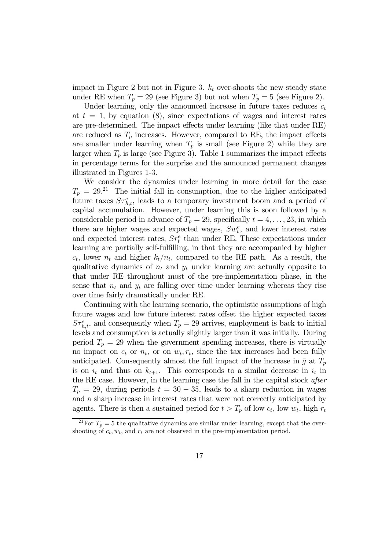impact in Figure 2 but not in Figure 3.  $k_t$  over-shoots the new steady state under RE when  $T_p = 29$  (see Figure 3) but not when  $T_p = 5$  (see Figure 2).

Under learning, only the announced increase in future taxes reduces  $c_t$ at  $t = 1$ , by equation (8), since expectations of wages and interest rates are pre-determined. The impact effects under learning (like that under RE) are reduced as  $T_p$  increases. However, compared to RE, the impact effects are smaller under learning when  $T_p$  is small (see Figure 2) while they are larger when  $T_p$  is large (see Figure 3). Table 1 summarizes the impact effects in percentage terms for the surprise and the announced permanent changes illustrated in Figures 1-3.

We consider the dynamics under learning in more detail for the case  $T_p = 29^{21}$  The initial fall in consumption, due to the higher anticipated future taxes  $S_{\tau_{h,t}}^e$ , leads to a temporary investment boom and a period of capital accumulation. However, under learning this is soon followed by a considerable period in advance of  $T_p = 29$ , specifically  $t = 4, \ldots, 23$ , in which there are higher wages and expected wages,  $Sw_t^e$ , and lower interest rates and expected interest rates,  $Sr_t^e$  than under RE. These expectations under learning are partially self-fulfilling, in that they are accompanied by higher  $c_t$ , lower  $n_t$  and higher  $k_t/n_t$ , compared to the RE path. As a result, the qualitative dynamics of  $n_t$  and  $y_t$  under learning are actually opposite to that under RE throughout most of the pre-implementation phase, in the sense that  $n_t$  and  $y_t$  are falling over time under learning whereas they rise over time fairly dramatically under RE.

Continuing with the learning scenario, the optimistic assumptions of high future wages and low future interest rates offset the higher expected taxes  $S_{n,t}$ , and consequently when  $T_p = 29$  arrives, employment is back to initial levels and consumption is actually slightly larger than it was initially. During period  $T_p = 29$  when the government spending increases, there is virtually no impact on  $c_t$  or  $n_t$ , or on  $w_t, r_t$ , since the tax increases had been fully anticipated. Consequently almost the full impact of the increase in  $\bar{g}$  at  $T_p$ is on  $i_t$  and thus on  $k_{t+1}$ . This corresponds to a similar decrease in  $i_t$  in the RE case. However, in the learning case the fall in the capital stock after  $T_p = 29$ , during periods  $t = 30 - 35$ , leads to a sharp reduction in wages and a sharp increase in interest rates that were not correctly anticipated by agents. There is then a sustained period for  $t > T_p$  of low  $c_t$ , low  $w_t$ , high  $r_t$ 

<sup>&</sup>lt;sup>21</sup>For  $T_p = 5$  the qualitative dynamics are similar under learning, except that the overshooting of  $c_t, w_t$ , and  $r_t$  are not observed in the pre-implementation period.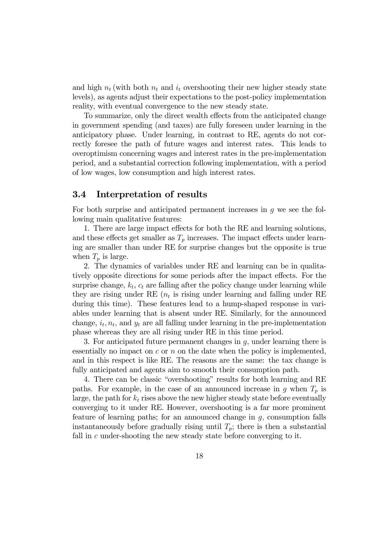and high  $n_t$  (with both  $n_t$  and  $i_t$  overshooting their new higher steady state levels), as agents adjust their expectations to the post-policy implementation reality, with eventual convergence to the new steady state.

To summarize, only the direct wealth effects from the anticipated change in government spending (and taxes) are fully foreseen under learning in the anticipatory phase. Under learning, in contrast to RE, agents do not correctly foresee the path of future wages and interest rates. This leads to overoptimism concerning wages and interest rates in the pre-implementation period, and a substantial correction following implementation, with a period of low wages, low consumption and high interest rates.

#### 3.4 Interpretation of results

For both surprise and anticipated permanent increases in  $q$  we see the following main qualitative features:

1. There are large impact effects for both the RE and learning solutions, and these effects get smaller as  $T_p$  increases. The impact effects under learning are smaller than under RE for surprise changes but the opposite is true when  $T_p$  is large.

2. The dynamics of variables under RE and learning can be in qualitatively opposite directions for some periods after the impact effects. For the surprise change,  $k_t$ ,  $c_t$  are falling after the policy change under learning while they are rising under RE  $(n_t)$  is rising under learning and falling under RE during this time). These features lead to a hump-shaped response in variables under learning that is absent under RE. Similarly, for the announced change,  $i_t$ ,  $n_t$ , and  $y_t$  are all falling under learning in the pre-implementation phase whereas they are all rising under RE in this time period.

3. For anticipated future permanent changes in  $g$ , under learning there is essentially no impact on  $c$  or  $n$  on the date when the policy is implemented, and in this respect is like RE. The reasons are the same: the tax change is fully anticipated and agents aim to smooth their consumption path.

4. There can be classic "overshooting" results for both learning and RE paths. For example, in the case of an announced increase in  $g$  when  $T_p$  is large, the path for  $k_t$  rises above the new higher steady state before eventually converging to it under RE. However, overshooting is a far more prominent feature of learning paths; for an announced change in  $g$ , consumption falls instantaneously before gradually rising until  $T_p$ ; there is then a substantial fall in  $c$  under-shooting the new steady state before converging to it.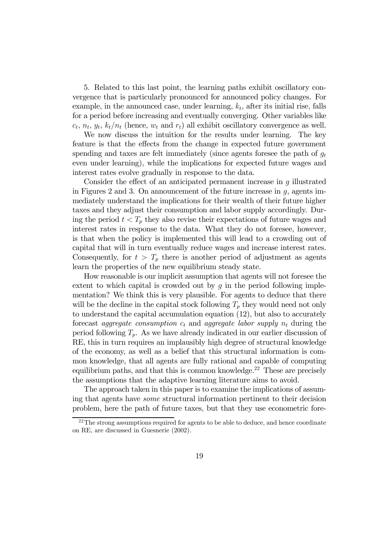5. Related to this last point, the learning paths exhibit oscillatory convergence that is particularly pronounced for announced policy changes. For example, in the announced case, under learning,  $k_t$ , after its initial rise, falls for a period before increasing and eventually converging. Other variables like  $c_t, n_t, y_t, k_t/n_t$  (hence,  $w_t$  and  $r_t$ ) all exhibit oscillatory convergence as well.

We now discuss the intuition for the results under learning. The key feature is that the effects from the change in expected future government spending and taxes are felt immediately (since agents foresee the path of  $q_t$ ) even under learning), while the implications for expected future wages and interest rates evolve gradually in response to the data.

Consider the effect of an anticipated permanent increase in  $q$  illustrated in Figures 2 and 3. On announcement of the future increase in  $g$ , agents immediately understand the implications for their wealth of their future higher taxes and they adjust their consumption and labor supply accordingly. During the period  $t < T_p$ , they also revise their expectations of future wages and interest rates in response to the data. What they do not foresee, however, is that when the policy is implemented this will lead to a crowding out of capital that will in turn eventually reduce wages and increase interest rates. Consequently, for  $t>T_p$  there is another period of adjustment as agents learn the properties of the new equilibrium steady state.

How reasonable is our implicit assumption that agents will not foresee the extent to which capital is crowded out by  $q$  in the period following implementation? We think this is very plausible. For agents to deduce that there will be the decline in the capital stock following  $T_p$  they would need not only to understand the capital accumulation equation (12), but also to accurately forecast aggregate consumption  $c_t$  and aggregate labor supply  $n_t$  during the period following  $T_p$ . As we have already indicated in our earlier discussion of RE, this in turn requires an implausibly high degree of structural knowledge of the economy, as well as a belief that this structural information is common knowledge, that all agents are fully rational and capable of computing equilibrium paths, and that this is common knowledge.<sup>22</sup> These are precisely the assumptions that the adaptive learning literature aims to avoid.

The approach taken in this paper is to examine the implications of assuming that agents have some structural information pertinent to their decision problem, here the path of future taxes, but that they use econometric fore-

 $22$ The strong assumptions required for agents to be able to deduce, and hence coordinate on RE, are discussed in Guesnerie (2002).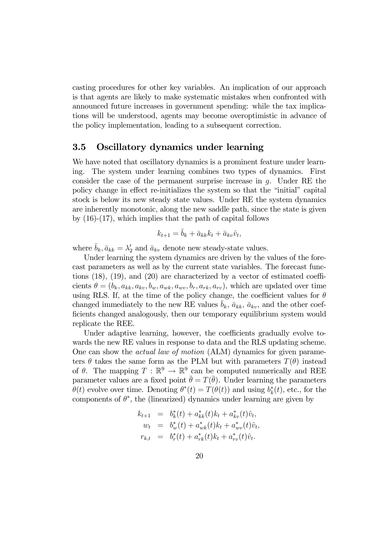casting procedures for other key variables. An implication of our approach is that agents are likely to make systematic mistakes when confronted with announced future increases in government spending: while the tax implications will be understood, agents may become overoptimistic in advance of the policy implementation, leading to a subsequent correction.

#### 3.5 Oscillatory dynamics under learning

We have noted that oscillatory dynamics is a prominent feature under learning. The system under learning combines two types of dynamics. First consider the case of the permanent surprise increase in  $q$ . Under RE the policy change in effect re-initializes the system so that the "initial" capital stock is below its new steady state values. Under RE the system dynamics are inherently monotonic, along the new saddle path, since the state is given by (16)-(17), which implies that the path of capital follows

$$
k_{t+1} = \bar{b}_k + \bar{a}_{kk}k_t + \bar{a}_{kv}\hat{v}_t,
$$

where  $\bar{b}_k, \bar{a}_{kk} = \lambda'_2$  and  $\bar{a}_{kv}$  denote new steady-state values.

Under learning the system dynamics are driven by the values of the forecast parameters as well as by the current state variables. The forecast functions (18), (19), and (20) are characterized by a vector of estimated coefficients  $\theta = (b_k, a_{kk}, a_{kv}, b_w, a_{wk}, a_{wv}, b_r, a_{rk}, a_{rv})$ , which are updated over time using RLS. If, at the time of the policy change, the coefficient values for  $\theta$ changed immediately to the new RE values  $b_k$ ,  $\bar{a}_{kk}$ ,  $\bar{a}_{kv}$ , and the other coefficients changed analogously, then our temporary equilibrium system would replicate the REE.

Under adaptive learning, however, the coefficients gradually evolve towards the new RE values in response to data and the RLS updating scheme. One can show the actual law of motion (ALM) dynamics for given parameters  $\theta$  takes the same form as the PLM but with parameters  $T(\theta)$  instead of  $\theta$ . The mapping  $T : \mathbb{R}^9 \to \mathbb{R}^9$  can be computed numerically and REE parameter values are a fixed point  $\bar{\theta} = T(\bar{\theta})$ . Under learning the parameters  $\theta(t)$  evolve over time. Denoting  $\theta^*(t) = T(\theta(t))$  and using  $b_k^*(t)$ , etc., for the components of  $\theta^*$ , the (linearized) dynamics under learning are given by

$$
k_{t+1} = b_k^*(t) + a_{kk}^*(t)k_t + a_{kv}^*(t)\hat{v}_t,
$$
  
\n
$$
w_t = b_w^*(t) + a_{wk}^*(t)k_t + a_{wv}^*(t)\hat{v}_t,
$$
  
\n
$$
r_{k,t} = b_r^*(t) + a_{rk}^*(t)k_t + a_{rv}^*(t)\hat{v}_t.
$$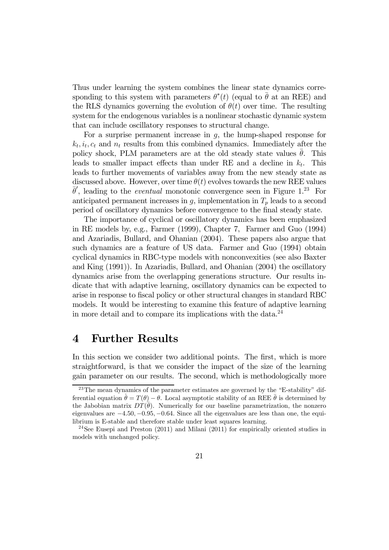Thus under learning the system combines the linear state dynamics corresponding to this system with parameters  $\theta^*(t)$  (equal to  $\bar{\theta}$  at an REE) and the RLS dynamics governing the evolution of  $\theta(t)$  over time. The resulting system for the endogenous variables is a nonlinear stochastic dynamic system that can include oscillatory responses to structural change.

For a surprise permanent increase in  $q$ , the hump-shaped response for  $k_t$ ,  $i_t$ ,  $c_t$  and  $n_t$  results from this combined dynamics. Immediately after the policy shock, PLM parameters are at the old steady state values  $\bar{\theta}$ . This leads to smaller impact effects than under RE and a decline in  $k_t$ . This leads to further movements of variables away from the new steady state as discussed above. However, over time  $\theta(t)$  evolves towards the new REE values  $\bar{\theta}'$ , leading to the *eventual* monotonic convergence seen in Figure 1.<sup>23</sup> For anticipated permanent increases in  $g$ , implementation in  $T_p$  leads to a second period of oscillatory dynamics before convergence to the final steady state.

The importance of cyclical or oscillatory dynamics has been emphasized in RE models by, e.g., Farmer (1999), Chapter 7, Farmer and Guo (1994) and Azariadis, Bullard, and Ohanian (2004). These papers also argue that such dynamics are a feature of US data. Farmer and Guo (1994) obtain cyclical dynamics in RBC-type models with nonconvexities (see also Baxter and King (1991)). In Azariadis, Bullard, and Ohanian (2004) the oscillatory dynamics arise from the overlapping generations structure. Our results indicate that with adaptive learning, oscillatory dynamics can be expected to arise in response to fiscal policy or other structural changes in standard RBC models. It would be interesting to examine this feature of adaptive learning in more detail and to compare its implications with the data.24

## 4 Further Results

In this section we consider two additional points. The first, which is more straightforward, is that we consider the impact of the size of the learning gain parameter on our results. The second, which is methodologically more

<sup>&</sup>lt;sup>23</sup>The mean dynamics of the parameter estimates are governed by the "E-stability" differential equation  $\hat{\theta} = T(\theta) - \theta$ . Local asymptotic stability of an REE  $\bar{\theta}$  is determined by the Jabobian matrix  $DT(\bar{\theta})$ . Numerically for our baseline parametrization, the nonzero eigenvalues are  $-4.50, -0.95, -0.64$ . Since all the eigenvalues are less than one, the equilibrium is E-stable and therefore stable under least squares learning.

<sup>24</sup>See Eusepi and Preston (2011) and Milani (2011) for empirically oriented studies in models with unchanged policy.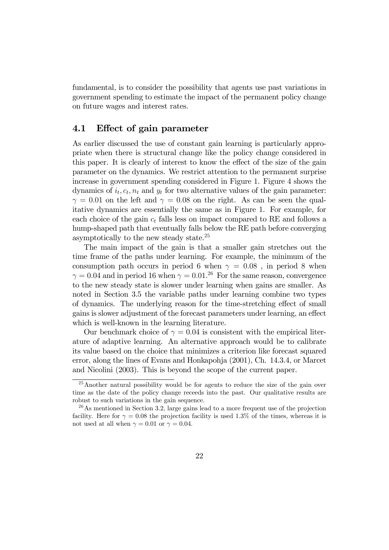fundamental, is to consider the possibility that agents use past variations in government spending to estimate the impact of the permanent policy change on future wages and interest rates.

## 4.1 Effect of gain parameter

As earlier discussed the use of constant gain learning is particularly appropriate when there is structural change like the policy change considered in this paper. It is clearly of interest to know the effect of the size of the gain parameter on the dynamics. We restrict attention to the permanent surprise increase in government spending considered in Figure 1. Figure 4 shows the dynamics of  $i_t, c_t, n_t$  and  $y_t$  for two alternative values of the gain parameter:  $\gamma = 0.01$  on the left and  $\gamma = 0.08$  on the right. As can be seen the qualitative dynamics are essentially the same as in Figure 1. For example, for each choice of the gain  $c_t$  falls less on impact compared to RE and follows a hump-shaped path that eventually falls below the RE path before converging asymptotically to the new steady state.<sup>25</sup>

The main impact of the gain is that a smaller gain stretches out the time frame of the paths under learning. For example, the minimum of the consumption path occurs in period 6 when  $\gamma = 0.08$ , in period 8 when  $\gamma = 0.04$  and in period 16 when  $\gamma = 0.01$ .<sup>26</sup> For the same reason, convergence to the new steady state is slower under learning when gains are smaller. As noted in Section 3.5 the variable paths under learning combine two types of dynamics. The underlying reason for the time-stretching effect of small gains is slower adjustment of the forecast parameters under learning, an effect which is well-known in the learning literature.

Our benchmark choice of  $\gamma = 0.04$  is consistent with the empirical literature of adaptive learning. An alternative approach would be to calibrate its value based on the choice that minimizes a criterion like forecast squared error, along the lines of Evans and Honkapohja (2001), Ch. 14.3.4, or Marcet and Nicolini (2003). This is beyond the scope of the current paper.

<sup>25</sup>Another natural possibility would be for agents to reduce the size of the gain over time as the date of the policy change receeds into the past. Our qualitative results are robust to such variations in the gain sequence.

 $^{26}$ As mentioned in Section 3.2, large gains lead to a more frequent use of the projection facility. Here for  $\gamma = 0.08$  the projection facility is used 1.3% of the times, whereas it is not used at all when  $\gamma = 0.01$  or  $\gamma = 0.04$ .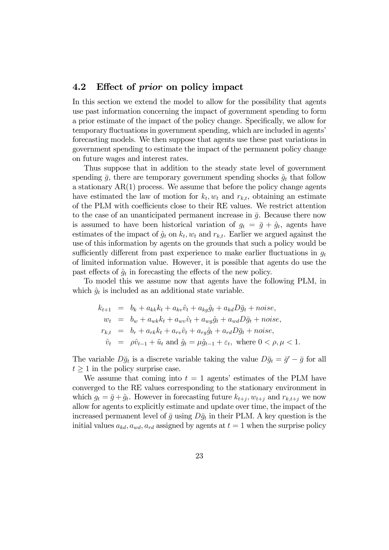### 4.2 Effect of prior on policy impact

In this section we extend the model to allow for the possibility that agents use past information concerning the impact of government spending to form a prior estimate of the impact of the policy change. Specifically, we allow for temporary fluctuations in government spending, which are included in agents' forecasting models. We then suppose that agents use these past variations in government spending to estimate the impact of the permanent policy change on future wages and interest rates.

Thus suppose that in addition to the steady state level of government spending  $\bar{g}$ , there are temporary government spending shocks  $\hat{g}_t$  that follow a stationary  $AR(1)$  process. We assume that before the policy change agents have estimated the law of motion for  $k_t, w_t$  and  $r_{k,t}$ , obtaining an estimate of the PLM with coefficients close to their RE values. We restrict attention to the case of an unanticipated permanent increase in  $\bar{g}$ . Because there now is assumed to have been historical variation of  $g_t = \bar{g} + \hat{g}_t$ , agents have estimates of the impact of  $\hat{g}_t$  on  $k_t, w_t$  and  $r_{k,t}$ . Earlier we argued against the use of this information by agents on the grounds that such a policy would be sufficiently different from past experience to make earlier fluctuations in  $g_t$ of limited information value. However, it is possible that agents do use the past effects of  $\hat{g}_t$  in forecasting the effects of the new policy.

To model this we assume now that agents have the following PLM, in which  $\hat{g}_t$  is included as an additional state variable.

$$
k_{t+1} = b_k + a_{kk}k_t + a_{kv}\hat{v}_t + a_{kg}\hat{g}_t + a_{kd}D\bar{g}_t + noise,
$$
  
\n
$$
w_t = b_w + a_{wk}k_t + a_{wv}\hat{v}_t + a_{wg}\hat{g}_t + a_{wd}D\bar{g}_t + noise,
$$
  
\n
$$
r_{k,t} = b_r + a_{rk}k_t + a_{rv}\hat{v}_t + a_{rg}\hat{g}_t + a_{rd}D\bar{g}_t + noise,
$$
  
\n
$$
\hat{v}_t = \rho\hat{v}_{t-1} + \tilde{u}_t \text{ and } \hat{g}_t = \mu\hat{g}_{t-1} + \varepsilon_t, \text{ where } 0 < \rho, \mu < 1.
$$

The variable  $D\bar{g}_t$  is a discrete variable taking the value  $D\bar{g}_t = \bar{g}' - \bar{g}$  for all  $t > 1$  in the policy surprise case.

We assume that coming into  $t = 1$  agents' estimates of the PLM have converged to the RE values corresponding to the stationary environment in which  $g_t = \bar{g} + \hat{g}_t$ . However in forecasting future  $k_{t+j}$ ,  $w_{t+j}$  and  $r_{k,t+j}$  we now allow for agents to explicitly estimate and update over time, the impact of the increased permanent level of  $\bar{g}$  using  $D\bar{g}_t$  in their PLM. A key question is the initial values  $a_{kd}, a_{wd}, a_{rd}$  assigned by agents at  $t = 1$  when the surprise policy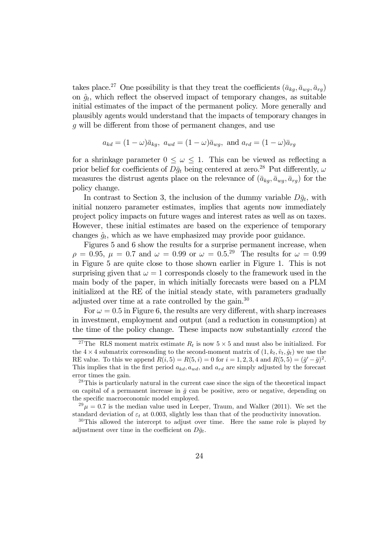takes place.<sup>27</sup> One possibility is that they treat the coefficients  $(\bar{a}_{kq}, \bar{a}_{wq}, \bar{a}_{rq})$ on  $\hat{q}_t$ , which reflect the observed impact of temporary changes, as suitable initial estimates of the impact of the permanent policy. More generally and plausibly agents would understand that the impacts of temporary changes in will be different from those of permanent changes, and use

$$
a_{kd} = (1 - \omega)\bar{a}_{kg}, \ a_{wd} = (1 - \omega)\bar{a}_{wg}, \text{ and } a_{rd} = (1 - \omega)\bar{a}_{rg}
$$

for a shrinkage parameter  $0 \leq \omega \leq 1$ . This can be viewed as reflecting a prior belief for coefficients of  $D\bar{g}_t$  being centered at zero.<sup>28</sup> Put differently,  $\omega$ measures the distrust agents place on the relevance of  $(\bar{a}_{kq}, \bar{a}_{wq}, \bar{a}_{rq})$  for the policy change.

In contrast to Section 3, the inclusion of the dummy variable  $D\bar{g}_t$ , with initial nonzero parameter estimates, implies that agents now immediately project policy impacts on future wages and interest rates as well as on taxes. However, these initial estimates are based on the experience of temporary changes  $\hat{g}_t$ , which as we have emphasized may provide poor guidance.

Figures 5 and 6 show the results for a surprise permanent increase, when  $\rho = 0.95, \ \mu = 0.7$  and  $\omega = 0.99$  or  $\omega = 0.5^{29}$  The results for  $\omega = 0.99$ in Figure 5 are quite close to those shown earlier in Figure 1. This is not surprising given that  $\omega = 1$  corresponds closely to the framework used in the main body of the paper, in which initially forecasts were based on a PLM initialized at the RE of the initial steady state, with parameters gradually adjusted over time at a rate controlled by the gain.30

For  $\omega = 0.5$  in Figure 6, the results are very different, with sharp increases in investment, employment and output (and a reduction in consumption) at the time of the policy change. These impacts now substantially exceed the

<sup>&</sup>lt;sup>27</sup>The RLS moment matrix estimate  $R_t$  is now  $5 \times 5$  and must also be initialized. For the  $4 \times 4$  submatrix corresonding to the second-moment matrix of  $(1, k_t, \hat{v}_t, \hat{g}_t)$  we use the RE value. To this we append  $R(i,5) = R(5, i) = 0$  for  $i = 1, 2, 3, 4$  and  $R(5, 5) = (\bar{g}' - \bar{g})^2$ . This implies that in the first period  $a_{kd}$ ,  $a_{wd}$ , and  $a_{rd}$  are simply adjusted by the forecast error times the gain.

<sup>&</sup>lt;sup>28</sup>This is particularly natural in the current case since the sign of the theoretical impact on capital of a permanent increase in  $\bar{q}$  can be positive, zero or negative, depending on the specific macroeconomic model employed.

 $^{29}\mu = 0.7$  is the median value used in Leeper, Traum, and Walker (2011). We set the standard deviation of  $\varepsilon_t$  at 0.003, slightly less than that of the productivity innovation.

 $30$ This allowed the intercept to adjust over time. Here the same role is played by adjustment over time in the coefficient on  $D\bar{g}_t$ .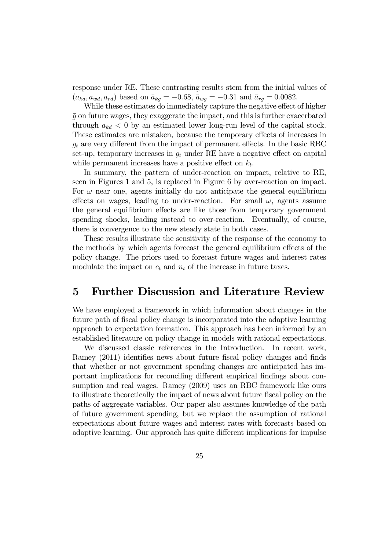response under RE. These contrasting results stem from the initial values of  $(a_{kd}, a_{wd}, a_{rd})$  based on  $\bar{a}_{kg} = -0.68$ ,  $\bar{a}_{wg} = -0.31$  and  $\bar{a}_{rg} = 0.0082$ .

While these estimates do immediately capture the negative effect of higher  $\bar{g}$  on future wages, they exaggerate the impact, and this is further exacerbated through  $a_{kd} < 0$  by an estimated lower long-run level of the capital stock. These estimates are mistaken, because the temporary effects of increases in  $q_t$  are very different from the impact of permanent effects. In the basic RBC set-up, temporary increases in  $q_t$  under RE have a negative effect on capital while permanent increases have a positive effect on  $k_t$ .

In summary, the pattern of under-reaction on impact, relative to RE, seen in Figures 1 and 5, is replaced in Figure 6 by over-reaction on impact. For  $\omega$  near one, agents initially do not anticipate the general equilibrium effects on wages, leading to under-reaction. For small  $\omega$ , agents assume the general equilibrium effects are like those from temporary government spending shocks, leading instead to over-reaction. Eventually, of course, there is convergence to the new steady state in both cases.

These results illustrate the sensitivity of the response of the economy to the methods by which agents forecast the general equilibrium effects of the policy change. The priors used to forecast future wages and interest rates modulate the impact on  $c_t$  and  $n_t$  of the increase in future taxes.

## 5 Further Discussion and Literature Review

We have employed a framework in which information about changes in the future path of fiscal policy change is incorporated into the adaptive learning approach to expectation formation. This approach has been informed by an established literature on policy change in models with rational expectations.

We discussed classic references in the Introduction. In recent work, Ramey (2011) identifies news about future fiscal policy changes and finds that whether or not government spending changes are anticipated has important implications for reconciling different empirical findings about consumption and real wages. Ramey (2009) uses an RBC framework like ours to illustrate theoretically the impact of news about future fiscal policy on the paths of aggregate variables. Our paper also assumes knowledge of the path of future government spending, but we replace the assumption of rational expectations about future wages and interest rates with forecasts based on adaptive learning. Our approach has quite different implications for impulse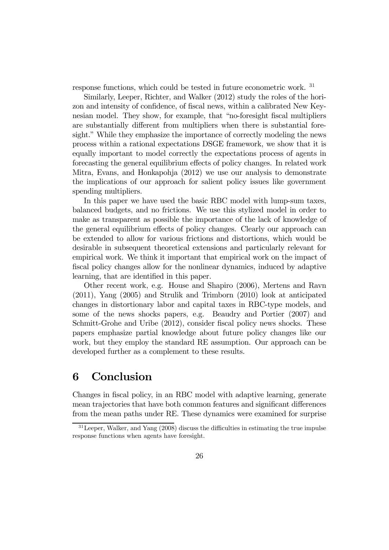response functions, which could be tested in future econometric work. <sup>31</sup>

Similarly, Leeper, Richter, and Walker (2012) study the roles of the horizon and intensity of confidence, of fiscal news, within a calibrated New Keynesian model. They show, for example, that "no-foresight fiscal multipliers are substantially different from multipliers when there is substantial foresight." While they emphasize the importance of correctly modeling the news process within a rational expectations DSGE framework, we show that it is equally important to model correctly the expectations process of agents in forecasting the general equilibrium effects of policy changes. In related work Mitra, Evans, and Honkapohja (2012) we use our analysis to demonstrate the implications of our approach for salient policy issues like government spending multipliers.

In this paper we have used the basic RBC model with lump-sum taxes, balanced budgets, and no frictions. We use this stylized model in order to make as transparent as possible the importance of the lack of knowledge of the general equilibrium effects of policy changes. Clearly our approach can be extended to allow for various frictions and distortions, which would be desirable in subsequent theoretical extensions and particularly relevant for empirical work. We think it important that empirical work on the impact of fiscal policy changes allow for the nonlinear dynamics, induced by adaptive learning, that are identified in this paper.

Other recent work, e.g. House and Shapiro (2006), Mertens and Ravn (2011), Yang (2005) and Strulik and Trimborn (2010) look at anticipated changes in distortionary labor and capital taxes in RBC-type models, and some of the news shocks papers, e.g. Beaudry and Portier (2007) and Schmitt-Grohe and Uribe (2012), consider fiscal policy news shocks. These papers emphasize partial knowledge about future policy changes like our work, but they employ the standard RE assumption. Our approach can be developed further as a complement to these results.

# 6 Conclusion

Changes in fiscal policy, in an RBC model with adaptive learning, generate mean trajectories that have both common features and significant differences from the mean paths under RE. These dynamics were examined for surprise

 $31$  Leeper, Walker, and Yang  $(2008)$  discuss the difficulties in estimating the true impulse response functions when agents have foresight.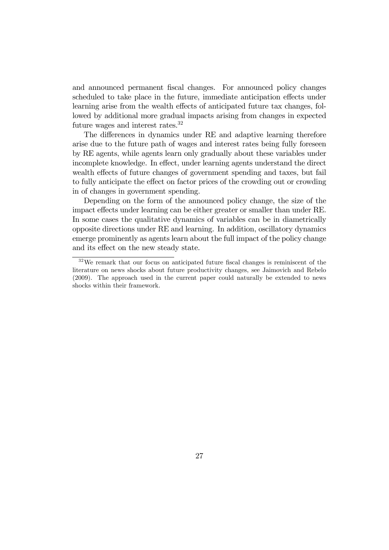and announced permanent fiscal changes. For announced policy changes scheduled to take place in the future, immediate anticipation effects under learning arise from the wealth effects of anticipated future tax changes, followed by additional more gradual impacts arising from changes in expected future wages and interest rates.32

The differences in dynamics under RE and adaptive learning therefore arise due to the future path of wages and interest rates being fully foreseen by RE agents, while agents learn only gradually about these variables under incomplete knowledge. In effect, under learning agents understand the direct wealth effects of future changes of government spending and taxes, but fail to fully anticipate the effect on factor prices of the crowding out or crowding in of changes in government spending.

Depending on the form of the announced policy change, the size of the impact effects under learning can be either greater or smaller than under RE. In some cases the qualitative dynamics of variables can be in diametrically opposite directions under RE and learning. In addition, oscillatory dynamics emerge prominently as agents learn about the full impact of the policy change and its effect on the new steady state.

<sup>32</sup>We remark that our focus on anticipated future fiscal changes is reminiscent of the literature on news shocks about future productivity changes, see Jaimovich and Rebelo (2009). The approach used in the current paper could naturally be extended to news shocks within their framework.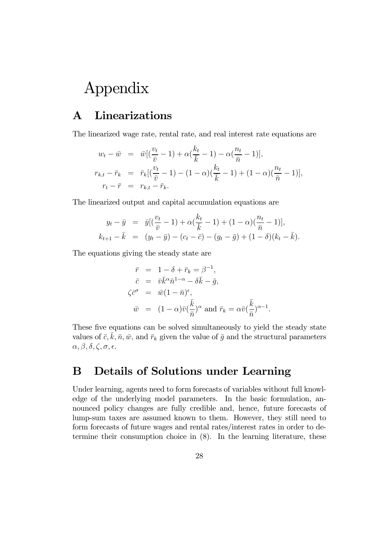# Appendix

# A Linearizations

The linearized wage rate, rental rate, and real interest rate equations are

$$
w_t - \bar{w} = \bar{w} \left[ \left( \frac{v_t}{\bar{v}} - 1 \right) + \alpha \left( \frac{k_t}{\bar{k}} - 1 \right) - \alpha \left( \frac{n_t}{\bar{n}} - 1 \right) \right],
$$
  
\n
$$
r_{k,t} - \bar{r}_k = \bar{r}_k \left[ \left( \frac{v_t}{\bar{v}} - 1 \right) - (1 - \alpha) \left( \frac{k_t}{\bar{k}} - 1 \right) + (1 - \alpha) \left( \frac{n_t}{\bar{n}} - 1 \right) \right],
$$
  
\n
$$
r_t - \bar{r} = r_{k,t} - \bar{r}_k.
$$

The linearized output and capital accumulation equations are

$$
y_t - \bar{y} = \bar{y} \left[ \left( \frac{v_t}{\bar{v}} - 1 \right) + \alpha \left( \frac{k_t}{\bar{k}} - 1 \right) + (1 - \alpha) \left( \frac{n_t}{\bar{n}} - 1 \right) \right],
$$
  

$$
k_{t+1} - \bar{k} = (y_t - \bar{y}) - (c_t - \bar{c}) - (g_t - \bar{g}) + (1 - \delta)(k_t - \bar{k}).
$$

The equations giving the steady state are

$$
\begin{aligned}\n\bar{r} &= 1 - \delta + \bar{r}_k = \beta^{-1}, \\
\bar{c} &= \bar{v} \bar{k}^{\alpha} \bar{n}^{1-\alpha} - \delta \bar{k} - \bar{g}, \\
\zeta \bar{c}^{\sigma} &= \bar{w} (1 - \bar{n})^{\epsilon}, \\
\bar{w} &= (1 - \alpha) \bar{v} (\frac{\bar{k}}{\bar{n}})^{\alpha} \text{ and } \bar{r}_k = \alpha \bar{v} (\frac{\bar{k}}{\bar{n}})^{\alpha - 1}\n\end{aligned}
$$

 $\ddot{\phantom{0}}$ 

These five equations can be solved simultaneously to yield the steady state values of  $\bar{c}, \bar{k}, \bar{n}, \bar{w}$ , and  $\bar{r}_k$  given the value of  $\bar{g}$  and the structural parameters  $\alpha, \beta, \delta, \zeta, \sigma, \epsilon.$ 

# B Details of Solutions under Learning

Under learning, agents need to form forecasts of variables without full knowledge of the underlying model parameters. In the basic formulation, announced policy changes are fully credible and, hence, future forecasts of lump-sum taxes are assumed known to them. However, they still need to form forecasts of future wages and rental rates/interest rates in order to determine their consumption choice in (8). In the learning literature, these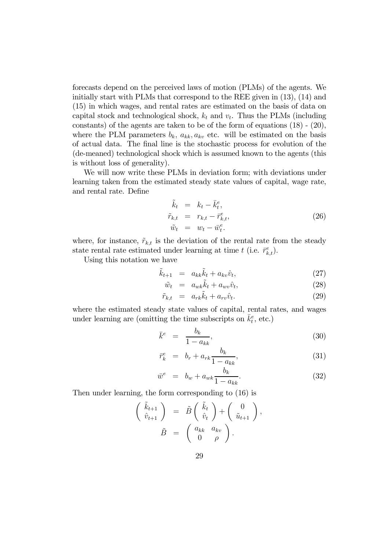forecasts depend on the perceived laws of motion (PLMs) of the agents. We initially start with PLMs that correspond to the REE given in (13), (14) and (15) in which wages, and rental rates are estimated on the basis of data on capital stock and technological shock,  $k_t$  and  $v_t$ . Thus the PLMs (including constants) of the agents are taken to be of the form of equations (18) - (20), where the PLM parameters  $b_k$ ,  $a_{kk}$ ,  $a_{kv}$  etc. will be estimated on the basis of actual data. The final line is the stochastic process for evolution of the (de-meaned) technological shock which is assumed known to the agents (this is without loss of generality).

We will now write these PLMs in deviation form; with deviations under learning taken from the estimated steady state values of capital, wage rate, and rental rate. Define

$$
\begin{array}{rcl}\n\tilde{k}_t &=& k_t - \bar{k}_t^e, \\
\tilde{r}_{k,t} &=& r_{k,t} - \bar{r}_{k,t}^e, \\
\tilde{w}_t &=& w_t - \bar{w}_t^e.\n\end{array} \tag{26}
$$

where, for instance,  $\tilde{r}_{k,t}$  is the deviation of the rental rate from the steady state rental rate estimated under learning at time t (i.e.  $\bar{r}_{k,t}^e$ ).

Using this notation we have

$$
\tilde{k}_{t+1} = a_{kk}\tilde{k}_t + a_{kv}\hat{v}_t, \qquad (27)
$$

$$
\tilde{w}_t = a_{wk}\tilde{k}_t + a_{wv}\hat{v}_t, \tag{28}
$$

$$
\tilde{r}_{k,t} = a_{rk}\tilde{k}_t + a_{rv}\hat{v}_t.
$$
\n(29)

where the estimated steady state values of capital, rental rates, and wages under learning are (omitting the time subscripts on  $\bar{k}_t^e$ , etc.)

$$
\bar{k}^e = \frac{b_k}{1 - a_{kk}},\tag{30}
$$

$$
\bar{r}_k^e = b_r + a_{rk} \frac{b_k}{1 - a_{kk}},
$$
\n(31)

$$
\bar{w}^e = b_w + a_{wk} \frac{b_k}{1 - a_{kk}}.\tag{32}
$$

Then under learning, the form corresponding to (16) is

$$
\begin{pmatrix}\n\tilde{k}_{t+1} \\
\hat{v}_{t+1}\n\end{pmatrix} = \tilde{B} \begin{pmatrix}\n\tilde{k}_t \\
\hat{v}_t\n\end{pmatrix} + \begin{pmatrix}\n0 \\
\tilde{u}_{t+1}\n\end{pmatrix},
$$
\n
$$
\tilde{B} = \begin{pmatrix}\na_{kk} & a_{kv} \\
0 & \rho\n\end{pmatrix}.
$$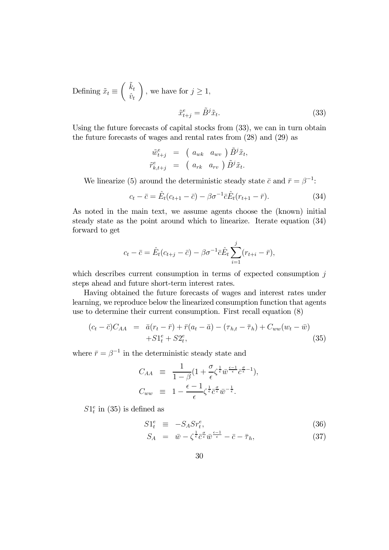Defining  $\tilde{x}_t \equiv$  $\int \tilde{k}_t$  $\hat{v}_t$  $\setminus$ , we have for  $j \geq 1$ ,  $\tilde{x}_{t+j}^e = \tilde{B}^j$  $\tilde{x}_t$ . (33)

Using the future forecasts of capital stocks from (33), we can in turn obtain the future forecasts of wages and rental rates from (28) and (29) as

$$
\begin{array}{rcl}\n\tilde{w}_{t+j}^e &=& \left(\begin{array}{cc} a_{wk} & a_{wv} \end{array}\right) \tilde{B}^j \tilde{x}_t, \\
\tilde{r}_{k,t+j}^e &=& \left(\begin{array}{cc} a_{rk} & a_{rv} \end{array}\right) \tilde{B}^j \tilde{x}_t.\n\end{array}
$$

We linearize (5) around the deterministic steady state  $\bar{c}$  and  $\bar{r} = \beta^{-1}$ :

$$
c_t - \bar{c} = \hat{E}_t(c_{t+1} - \bar{c}) - \beta \sigma^{-1} \bar{c} \hat{E}_t(r_{t+1} - \bar{r}).
$$
\n(34)

As noted in the main text, we assume agents choose the (known) initial steady state as the point around which to linearize. Iterate equation (34) forward to get

$$
c_t - \bar{c} = \hat{E}_t(c_{t+j} - \bar{c}) - \beta \sigma^{-1} \bar{c} \hat{E}_t \sum_{i=1}^j (r_{t+i} - \bar{r}),
$$

which describes current consumption in terms of expected consumption  $j$ steps ahead and future short-term interest rates.

Having obtained the future forecasts of wages and interest rates under learning, we reproduce below the linearized consumption function that agents use to determine their current consumption. First recall equation (8)

$$
(c_t - \bar{c})C_{AA} = \bar{a}(r_t - \bar{r}) + \bar{r}(a_t - \bar{a}) - (\tau_{h,t} - \bar{\tau}_h) + C_{ww}(w_t - \bar{w}) + SI_t^e + S2_t^e,
$$
\n(35)

where  $\bar{r} = \beta^{-1}$  in the deterministic steady state and

$$
C_{AA} \equiv \frac{1}{1-\beta} \left(1 + \frac{\sigma}{\epsilon} \zeta^{\frac{1}{\epsilon}} \overline{w}^{\frac{\epsilon-1}{\epsilon}} \overline{c}^{\frac{\sigma}{\epsilon}-1} \right),
$$
  
\n
$$
C_{ww} \equiv 1 - \frac{\epsilon - 1}{\epsilon} \zeta^{\frac{1}{\epsilon}} \overline{c}^{\frac{\sigma}{\epsilon}} \overline{w}^{-\frac{1}{\epsilon}}.
$$

 $S1_t^e$  in (35) is defined as

$$
S1_t^e \equiv -S_A S r_t^e, \tag{36}
$$

$$
S_A = \bar{w} - \zeta^{\frac{1}{\epsilon}} \bar{c}^{\frac{\sigma}{\epsilon}} \bar{w}^{\frac{\epsilon-1}{\epsilon}} - \bar{c} - \bar{\tau}_h, \tag{37}
$$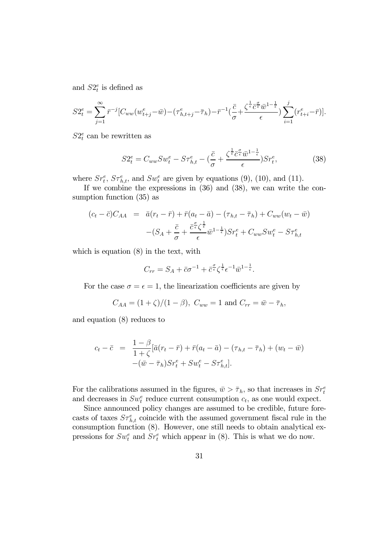and  $S2_t^e$  is defined as

$$
S2_t^e=\sum_{j=1}^\infty \bar{r}^{-j}[C_{ww}(w_{t+j}^e-\bar{w})-(\tau_{h,t+j}^e-\bar{\tau}_h)-\bar{r}^{-1}(\frac{\bar{c}}{\sigma}+\frac{\zeta^{\frac{1}{\epsilon}}\bar{c}^\frac{\bar{\sigma}}{\epsilon}\bar{w}^{1-\frac{1}{\epsilon}}}{\epsilon})\sum_{i=1}^j(r_{t+i}^e-\bar{r})].
$$

 $S2_t^e$  can be rewritten as

$$
S2_t^e = C_{ww} S w_t^e - S\tau_{h,t}^e - \left(\frac{\bar{c}}{\sigma} + \frac{\zeta^{\frac{1}{\epsilon}} \bar{c}^{\frac{\sigma}{\epsilon}} \bar{w}^{1-\frac{1}{\epsilon}}}{\epsilon}\right) S r_t^e,\tag{38}
$$

where  $Sr_t^e$ ,  $S\tau_{h,t}^e$ , and  $Sw_t^e$  are given by equations (9), (10), and (11).

If we combine the expressions in (36) and (38), we can write the consumption function (35) as

$$
(c_t - \bar{c})C_{AA} = \bar{a}(r_t - \bar{r}) + \bar{r}(a_t - \bar{a}) - (\tau_{h,t} - \bar{\tau}_h) + C_{ww}(w_t - \bar{w})
$$

$$
-(S_A + \frac{\bar{c}}{\sigma} + \frac{\bar{c}^{\frac{\sigma}{\epsilon}}\zeta^{\frac{1}{\epsilon}}}{\epsilon}\bar{w}^{1-\frac{1}{\epsilon}})Sr_t^e + C_{ww}Sw_t^e - S\tau_{h,t}^e
$$

which is equation (8) in the text, with

$$
C_{rr} = S_A + \bar{c}\sigma^{-1} + \bar{c}^{\frac{\sigma}{\epsilon}}\zeta^{\frac{1}{\epsilon}}\epsilon^{-1}\bar{w}^{1-\frac{1}{\epsilon}}.
$$

For the case  $\sigma = \epsilon = 1$ , the linearization coefficients are given by

$$
C_{AA} = (1 + \zeta)/(1 - \beta), C_{ww} = 1 \text{ and } C_{rr} = \bar{w} - \bar{\tau}_h,
$$

and equation (8) reduces to

$$
c_t - \bar{c} = \frac{1 - \beta}{1 + \zeta} [\bar{a}(r_t - \bar{r}) + \bar{r}(a_t - \bar{a}) - (\tau_{h,t} - \bar{\tau}_h) + (w_t - \bar{w})
$$

$$
-(\bar{w} - \bar{\tau}_h) S r_t^e + S w_t^e - S \tau_{h,t}^e].
$$

For the calibrations assumed in the figures,  $\bar{w} > \bar{\tau}_h$ , so that increases in  $S_r^e$ and decreases in  $Sw_t^e$  reduce current consumption  $c_t$ , as one would expect.

Since announced policy changes are assumed to be credible, future forecasts of taxes  $S_{\tau_{h,t}}^e$  coincide with the assumed government fiscal rule in the consumption function (8). However, one still needs to obtain analytical expressions for  $Sw_t^e$  and  $Sr_t^e$  which appear in (8). This is what we do now.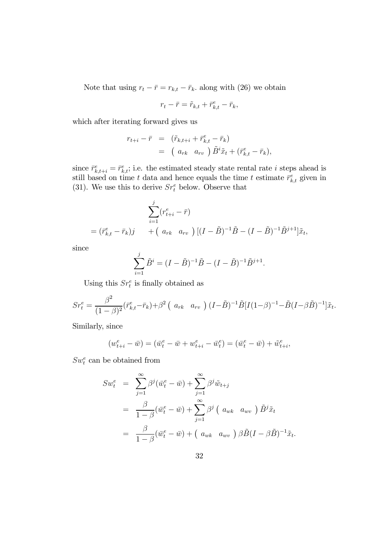Note that using  $r_t - \bar{r} = r_{k,t} - \bar{r}_k$ , along with (26) we obtain

$$
r_t - \bar{r} = \tilde{r}_{k,t} + \bar{r}_{k,t}^e - \bar{r}_k,
$$

which after iterating forward gives us

$$
r_{t+i} - \bar{r} = (\tilde{r}_{k,t+i} + \bar{r}_{k,t}^e - \bar{r}_k)
$$
  
=  $( a_{rk} \ a_{rv}) \tilde{B}^i \tilde{x}_t + (\bar{r}_{k,t}^e - \bar{r}_k),$ 

since  $\bar{r}_{k,t+i}^e = \bar{r}_{k,i}^e$ ; i.e. the estimated steady state rental rate *i* steps ahead is still based on time t data and hence equals the time t estimate  $\bar{r}^e_{k,t}$  given in (31). We use this to derive  $Sr_t^e$  below. Observe that

$$
\sum_{i=1}^{j} (r_{t+i}^{e} - \bar{r})
$$
\n
$$
= (\bar{r}_{k,t}^{e} - \bar{r}_{k})j + (a_{rk} \ a_{rv}) [(I - \tilde{B})^{-1} \tilde{B} - (I - \tilde{B})^{-1} \tilde{B}^{j+1}] \tilde{x}_{t},
$$

since

$$
\sum_{i=1}^{j} \tilde{B}^{i} = (I - \tilde{B})^{-1} \tilde{B} - (I - \tilde{B})^{-1} \tilde{B}^{j+1}.
$$

Using this  $Sr_t^e$  is finally obtained as

$$
Sr_t^e = \frac{\beta^2}{(1-\beta)^2} (\bar{r}_{k,t}^e - \bar{r}_k) + \beta^2 \left( a_{rk} \quad a_{rv} \right) (I - \tilde{B})^{-1} \tilde{B} [I(1-\beta)^{-1} - \tilde{B}(I-\beta \tilde{B})^{-1}] \tilde{x}_t.
$$

Similarly, since

$$
(w_{t+i}^e - \bar{w}) = (\bar{w}_t^e - \bar{w} + w_{t+i}^e - \bar{w}_t^e) = (\bar{w}_t^e - \bar{w}) + \tilde{w}_{t+i}^e,
$$

 $Sw_t^e$  can be obtained from

$$
Sw_t^e = \sum_{j=1}^{\infty} \beta^j (\bar{w}_t^e - \bar{w}) + \sum_{j=1}^{\infty} \beta^j \tilde{w}_{t+j}
$$
  
= 
$$
\frac{\beta}{1-\beta} (\bar{w}_t^e - \bar{w}) + \sum_{j=1}^{\infty} \beta^j (a_{wk} a_{wv}) \tilde{B}^j \tilde{x}_t
$$
  
= 
$$
\frac{\beta}{1-\beta} (\bar{w}_t^e - \bar{w}) + (a_{wk} a_{wv}) \beta \tilde{B} (I - \beta \tilde{B})^{-1} \tilde{x}_t
$$

˜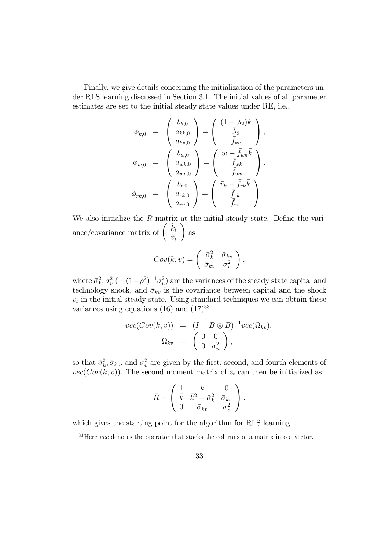Finally, we give details concerning the initialization of the parameters under RLS learning discussed in Section 3.1. The initial values of all parameter estimates are set to the initial steady state values under RE, i.e.,

$$
\phi_{k,0} = \begin{pmatrix} b_{k,0} \\ a_{kk,0} \\ a_{kv,0} \end{pmatrix} = \begin{pmatrix} (1 - \bar{\lambda}_2)\bar{k} \\ \bar{\lambda}_2 \\ \bar{f}_{kv} \end{pmatrix},
$$

$$
\phi_{w,0} = \begin{pmatrix} b_{w,0} \\ a_{wk,0} \\ a_{wv,0} \end{pmatrix} = \begin{pmatrix} \bar{w} - \bar{f}_{wk}\bar{k} \\ \bar{f}_{wk} \\ \bar{f}_{wv} \end{pmatrix},
$$

$$
\phi_{rk,0} = \begin{pmatrix} b_{r,0} \\ a_{rk,0} \\ a_{rv,0} \end{pmatrix} = \begin{pmatrix} \bar{r}_k - \bar{f}_{rk}\bar{k} \\ \bar{f}_{rk} \\ \bar{f}_{rv} \end{pmatrix}.
$$

We also initialize the  $R$  matrix at the initial steady state. Define the variance/covariance matrix of  $\begin{pmatrix} \hat{k}_t \\ \hat{k}_t \end{pmatrix}$  $\hat{v}_t$  $\setminus$ as

$$
Cov(k, v) = \begin{pmatrix} \bar{\sigma}_k^2 & \bar{\sigma}_{kv} \\ \bar{\sigma}_{kv} & \sigma_v^2 \end{pmatrix},
$$

where  $\bar{\sigma}_k^2$ ,  $\sigma_v^2$  (=  $(1-\rho^2)^{-1}\sigma_u^2$ ) are the variances of the steady state capital and technology shock, and  $\bar{\sigma}_{kv}$  is the covariance between capital and the shock  $v<sub>t</sub>$  in the initial steady state. Using standard techniques we can obtain these variances using equations (16) and  $(17)^{33}$ 

$$
vec(Cov(k, v)) = (I - B \otimes B)^{-1} vec(\Omega_{kv}),
$$
  

$$
\Omega_{kv} = \begin{pmatrix} 0 & 0 \\ 0 & \sigma_u^2 \end{pmatrix},
$$

so that  $\bar{\sigma}_k^2$ ,  $\bar{\sigma}_{kv}$ , and  $\sigma_v^2$  are given by the first, second, and fourth elements of  $vec(Cov(k, v))$ . The second moment matrix of  $z_t$  can then be initialized as

$$
\bar{R} = \left( \begin{array}{ccc} 1 & \bar{k} & 0 \\ \bar{k} & \bar{k}^2 + \bar{\sigma}_k^2 & \bar{\sigma}_{kv} \\ 0 & \bar{\sigma}_{kv} & \sigma_v^2 \end{array} \right),
$$

which gives the starting point for the algorithm for RLS learning.

 $33$  Here  $vec$  denotes the operator that stacks the columns of a matrix into a vector.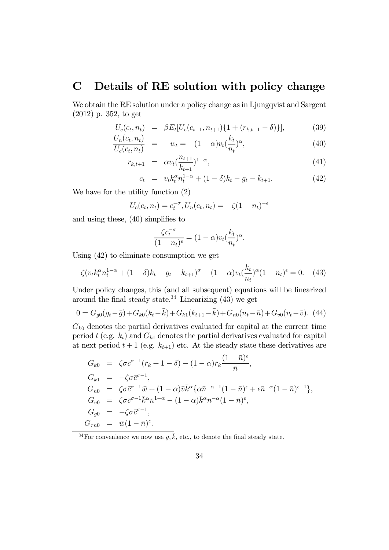# C Details of RE solution with policy change

We obtain the RE solution under a policy change as in Ljungqvist and Sargent (2012) p. 352, to get

$$
U_c(c_t, n_t) = \beta E_t [U_c(c_{t+1}, n_{t+1}) \{1 + (r_{k,t+1} - \delta)\}], \tag{39}
$$

$$
\frac{U_n(c_t, n_t)}{U_c(c_t, n_t)} = -w_t = -(1 - \alpha)v_t(\frac{k_t}{n_t})^{\alpha},\tag{40}
$$

$$
r_{k,t+1} = \alpha v_t \left(\frac{n_{t+1}}{k_{t+1}}\right)^{1-\alpha},\tag{41}
$$

$$
c_t = v_t k_t^{\alpha} n_t^{1-\alpha} + (1-\delta) k_t - g_t - k_{t+1}.
$$
 (42)

We have for the utility function (2)

$$
U_c(c_t, n_t) = c_t^{-\sigma}, U_n(c_t, n_t) = -\zeta (1 - n_t)^{-\epsilon}
$$

and using these, (40) simplifies to

$$
\frac{\zeta c_t^{-\sigma}}{(1-n_t)^{\epsilon}} = (1-\alpha)v_t(\frac{k_t}{n_t})^{\alpha}.
$$

Using (42) to eliminate consumption we get

$$
\zeta (v_t k_t^{\alpha} n_t^{1-\alpha} + (1-\delta)k_t - g_t - k_{t+1})^{\sigma} - (1-\alpha)v_t(\frac{k_t}{n_t})^{\alpha}(1-n_t)^{\epsilon} = 0. \tag{43}
$$

Under policy changes, this (and all subsequent) equations will be linearized around the final steady state.<sup>34</sup> Linearizing  $(43)$  we get

$$
0 = G_{g0}(g_t - \bar{g}) + G_{k0}(k_t - \bar{k}) + G_{k1}(k_{t+1} - \bar{k}) + G_{n0}(n_t - \bar{n}) + G_{v0}(v_t - \bar{v}). \tag{44}
$$

 $G_{k0}$  denotes the partial derivatives evaluated for capital at the current time period  $t$  (e.g.  $k_t$ ) and  $G_{k1}$  denotes the partial derivatives evaluated for capital at next period  $t + 1$  (e.g.  $k_{t+1}$ ) etc. At the steady state these derivatives are

$$
G_{k0} = \zeta \sigma \bar{c}^{\sigma-1} (\bar{r}_k + 1 - \delta) - (1 - \alpha) \bar{r}_k \frac{(1 - \bar{n})^{\epsilon}}{\bar{n}},
$$
  
\n
$$
G_{k1} = -\zeta \sigma \bar{c}^{\sigma-1},
$$
  
\n
$$
G_{n0} = \zeta \sigma \bar{c}^{\sigma-1} \bar{w} + (1 - \alpha) \bar{v} \bar{k}^{\alpha} \{ \alpha \bar{n}^{-\alpha-1} (1 - \bar{n})^{\epsilon} + \epsilon \bar{n}^{-\alpha} (1 - \bar{n})^{\epsilon-1} \},
$$
  
\n
$$
G_{v0} = \zeta \sigma \bar{c}^{\sigma-1} \bar{k}^{\alpha} \bar{n}^{1-\alpha} - (1 - \alpha) \bar{k}^{\alpha} \bar{n}^{-\alpha} (1 - \bar{n})^{\epsilon},
$$
  
\n
$$
G_{g0} = -\zeta \sigma \bar{c}^{\sigma-1},
$$
  
\n
$$
G_{\tau n0} = \bar{w} (1 - \bar{n})^{\epsilon}.
$$

<sup>34</sup>For convenience we now use  $\bar{g}, \bar{k}$ , etc., to denote the final steady state.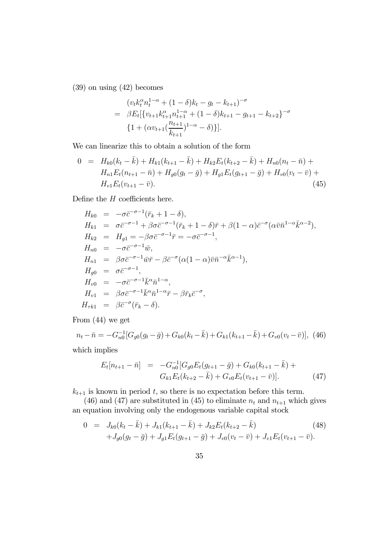(39) on using (42) becomes

$$
(v_t k_t^{\alpha} n_t^{1-\alpha} + (1-\delta) k_t - g_t - k_{t+1})^{-\sigma}
$$
  
= 
$$
\beta E_t [\{v_{t+1} k_{t+1}^{\alpha} n_{t+1}^{1-\alpha} + (1-\delta) k_{t+1} - g_{t+1} - k_{t+2}\}^{-\sigma}
$$
  

$$
\{1 + (\alpha v_{t+1} (\frac{n_{t+1}}{k_{t+1}})^{1-\alpha} - \delta)\}].
$$

We can linearize this to obtain a solution of the form

$$
0 = H_{k0}(k_t - \bar{k}) + H_{k1}(k_{t+1} - \bar{k}) + H_{k2}E_t(k_{t+2} - \bar{k}) + H_{n0}(n_t - \bar{n}) + H_{n1}E_t(n_{t+1} - \bar{n}) + H_{g0}(g_t - \bar{g}) + H_{g1}E_t(g_{t+1} - \bar{g}) + H_{v0}(v_t - \bar{v}) + H_{v1}E_t(v_{t+1} - \bar{v}).
$$
\n
$$
(45)
$$

Define the  $H$  coefficients here.

$$
H_{k0} = -\sigma \bar{c}^{-\sigma-1} (\bar{r}_k + 1 - \delta),
$$
  
\n
$$
H_{k1} = \sigma \bar{c}^{-\sigma-1} + \beta \sigma \bar{c}^{-\sigma-1} (\bar{r}_k + 1 - \delta) \bar{r} + \beta (1 - \alpha) \bar{c}^{-\sigma} (\alpha \bar{v} \bar{n}^{1-\alpha} \bar{k}^{\alpha-2}),
$$
  
\n
$$
H_{k2} = H_{g1} = -\beta \sigma \bar{c}^{-\sigma-1} \bar{r} = -\sigma \bar{c}^{-\sigma-1},
$$
  
\n
$$
H_{n0} = -\sigma \bar{c}^{-\sigma-1} \bar{w},
$$
  
\n
$$
H_{n1} = \beta \sigma \bar{c}^{-\sigma-1} \bar{w} \bar{r} - \beta \bar{c}^{-\sigma} (\alpha (1 - \alpha) \bar{v} \bar{n}^{-\alpha} \bar{k}^{\alpha-1}),
$$
  
\n
$$
H_{g0} = \sigma \bar{c}^{-\sigma-1},
$$
  
\n
$$
H_{v0} = -\sigma \bar{c}^{-\sigma-1} \bar{k}^{\alpha} \bar{n}^{1-\alpha},
$$
  
\n
$$
H_{v1} = \beta \sigma \bar{c}^{-\sigma-1} \bar{k}^{\alpha} \bar{n}^{1-\alpha} \bar{r} - \beta \bar{r}_k \bar{c}^{-\sigma},
$$
  
\n
$$
H_{\tau k1} = \beta \bar{c}^{-\sigma} (\bar{r}_k - \delta).
$$

From (44) we get

$$
n_t - \bar{n} = -G_{n0}^{-1} [G_{g0}(g_t - \bar{g}) + G_{k0}(k_t - \bar{k}) + G_{k1}(k_{t+1} - \bar{k}) + G_{v0}(v_t - \bar{v})], \tag{46}
$$

which implies

$$
E_t[n_{t+1} - \bar{n}] = -G_{n0}^{-1}[G_{g0}E_t(g_{t+1} - \bar{g}) + G_{k0}(k_{t+1} - \bar{k}) + G_{k1}E_t(k_{t+2} - \bar{k}) + G_{v0}E_t(v_{t+1} - \bar{v})].
$$
\n(47)

 $k_{t+1}$  is known in period t, so there is no expectation before this term.

(46) and (47) are substituted in (45) to eliminate  $n_t$  and  $n_{t+1}$  which gives an equation involving only the endogenous variable capital stock

$$
0 = J_{k0}(k_t - \bar{k}) + J_{k1}(k_{t+1} - \bar{k}) + J_{k2}E_t(k_{t+2} - \bar{k})
$$
\n
$$
+ J_{g0}(g_t - \bar{g}) + J_{g1}E_t(g_{t+1} - \bar{g}) + J_{v0}(v_t - \bar{v}) + J_{v1}E_t(v_{t+1} - \bar{v}).
$$
\n(48)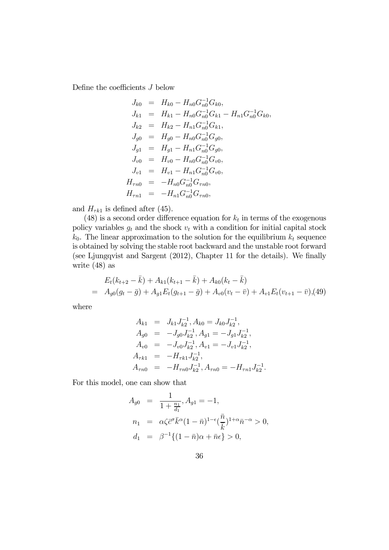Define the coefficients  $J$  below

$$
J_{k0} = H_{k0} - H_{n0}G_{n0}^{-1}G_{k0},
$$
  
\n
$$
J_{k1} = H_{k1} - H_{n0}G_{n0}^{-1}G_{k1} - H_{n1}G_{n0}^{-1}G_{k0},
$$
  
\n
$$
J_{k2} = H_{k2} - H_{n1}G_{n0}^{-1}G_{k1},
$$
  
\n
$$
J_{g0} = H_{g0} - H_{n0}G_{n0}^{-1}G_{g0},
$$
  
\n
$$
J_{g1} = H_{g1} - H_{n1}G_{n0}^{-1}G_{g0},
$$
  
\n
$$
J_{v0} = H_{v0} - H_{n0}G_{n0}^{-1}G_{v0},
$$
  
\n
$$
J_{v1} = H_{v1} - H_{n1}G_{n0}^{-1}G_{v0},
$$
  
\n
$$
H_{\tau n0} = -H_{n0}G_{n0}^{-1}G_{\tau n0},
$$
  
\n
$$
H_{\tau n1} = -H_{n1}G_{n0}^{-1}G_{\tau n0},
$$

and  $H_{\tau k1}$  is defined after (45).

(48) is a second order difference equation for  $k_t$  in terms of the exogenous policy variables  $g_t$  and the shock  $v_t$  with a condition for initial capital stock  $k_0$ . The linear approximation to the solution for the equilibrium  $k_t$  sequence is obtained by solving the stable root backward and the unstable root forward (see Ljungqvist and Sargent (2012), Chapter 11 for the details). We finally write (48) as

$$
E_t(k_{t+2} - \bar{k}) + A_{k1}(k_{t+1} - \bar{k}) + A_{k0}(k_t - \bar{k})
$$
  
=  $A_{g0}(g_t - \bar{g}) + A_{g1}E_t(g_{t+1} - \bar{g}) + A_{v0}(v_t - \bar{v}) + A_{v1}E_t(v_{t+1} - \bar{v})$ , (49)

where

$$
A_{k1} = J_{k1}J_{k2}^{-1}, A_{k0} = J_{k0}J_{k2}^{-1},
$$
  
\n
$$
A_{g0} = -J_{g0}J_{k2}^{-1}, A_{g1} = -J_{g1}J_{k2}^{-1},
$$
  
\n
$$
A_{v0} = -J_{v0}J_{k2}^{-1}, A_{v1} = -J_{v1}J_{k2}^{-1},
$$
  
\n
$$
A_{\tau k1} = -H_{\tau k1}J_{k2}^{-1},
$$
  
\n
$$
A_{\tau n0} = -H_{\tau n0}J_{k2}^{-1}, A_{\tau n0} = -H_{\tau n1}J_{k2}^{-1}.
$$

For this model, one can show that

$$
A_{g0} = \frac{1}{1 + \frac{n_1}{d_1}}, A_{g1} = -1,
$$
  
\n
$$
n_1 = \alpha \zeta \bar{c}^{\sigma} \bar{k}^{\alpha} (1 - \bar{n})^{1-\epsilon} (\frac{\bar{n}}{\bar{k}})^{1+\alpha} \bar{n}^{-\alpha} > 0,
$$
  
\n
$$
d_1 = \beta^{-1} \{ (1 - \bar{n}) \alpha + \bar{n} \epsilon \} > 0,
$$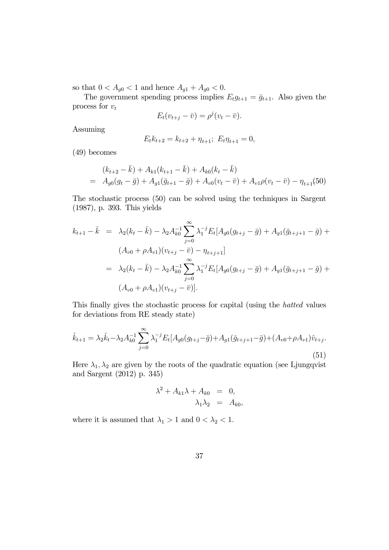so that  $0 < A_{g0} < 1$  and hence  $A_{g1} + A_{g0} < 0$ .

The government spending process implies  $E_t g_{t+1} = \bar{g}_{t+1}$ . Also given the process for  $v_t$ 

$$
E_t(v_{t+j} - \bar{v}) = \rho^j(v_t - \bar{v}).
$$

Assuming

$$
E_t k_{t+2} = k_{t+2} + \eta_{t+1}; \ E_t \eta_{t+1} = 0,
$$

(49) becomes

$$
(k_{t+2} - \bar{k}) + A_{k1}(k_{t+1} - \bar{k}) + A_{k0}(k_t - \bar{k})
$$
  
=  $A_{g0}(g_t - \bar{g}) + A_{g1}(\bar{g}_{t+1} - \bar{g}) + A_{v0}(v_t - \bar{v}) + A_{v1}\rho(v_t - \bar{v}) - \eta_{t+1}(50)$ 

The stochastic process (50) can be solved using the techniques in Sargent (1987), p. 393. This yields

$$
k_{t+1} - \bar{k} = \lambda_2 (k_t - \bar{k}) - \lambda_2 A_{k0}^{-1} \sum_{j=0}^{\infty} \lambda_1^{-j} E_t [A_{g0}(g_{t+j} - \bar{g}) + A_{g1}(\bar{g}_{t+j+1} - \bar{g}) +
$$
  

$$
(A_{v0} + \rho A_{v1})(v_{t+j} - \bar{v}) - \eta_{t+j+1}]
$$
  

$$
= \lambda_2 (k_t - \bar{k}) - \lambda_2 A_{k0}^{-1} \sum_{j=0}^{\infty} \lambda_1^{-j} E_t [A_{g0}(g_{t+j} - \bar{g}) + A_{g1}(\bar{g}_{t+j+1} - \bar{g}) +
$$
  

$$
(A_{v0} + \rho A_{v1})(v_{t+j} - \bar{v})].
$$

This finally gives the stochastic process for capital (using the hatted values for deviations from RE steady state)

$$
\hat{k}_{t+1} = \lambda_2 \hat{k}_t - \lambda_2 A_{k0}^{-1} \sum_{j=0}^{\infty} \lambda_1^{-j} E_t[A_{g0}(g_{t+j} - \bar{g}) + A_{g1}(\bar{g}_{t+j+1} - \bar{g}) + (A_{v0} + \rho A_{v1})\hat{v}_{t+j}.
$$
\n(51)

Here  $\lambda_1, \lambda_2$  are given by the roots of the quadratic equation (see Ljungqvist and Sargent (2012) p. 345)

$$
\lambda^2 + A_{k1}\lambda + A_{k0} = 0,
$$
  

$$
\lambda_1 \lambda_2 = A_{k0},
$$

where it is assumed that  $\lambda_1 > 1$  and  $0 < \lambda_2 < 1$ .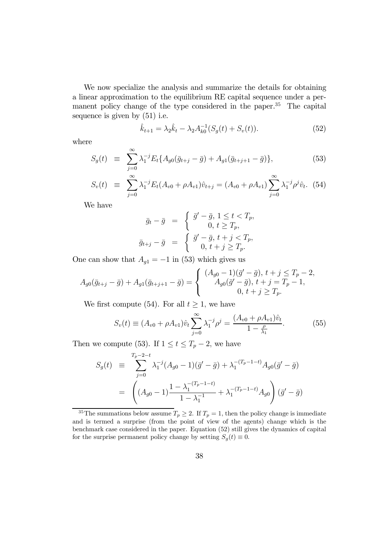We now specialize the analysis and summarize the details for obtaining a linear approximation to the equilibrium RE capital sequence under a permanent policy change of the type considered in the paper.<sup>35</sup> The capital sequence is given by (51) i.e.

$$
\hat{k}_{t+1} = \lambda_2 \hat{k}_t - \lambda_2 A_{k0}^{-1} (S_g(t) + S_v(t)).
$$
\n(52)

where

$$
S_g(t) \equiv \sum_{j=0}^{\infty} \lambda_1^{-j} E_t \{ A_{g0}(\bar{g}_{t+j} - \bar{g}) + A_{g1}(\bar{g}_{t+j+1} - \bar{g}) \}, \tag{53}
$$

$$
S_v(t) \equiv \sum_{j=0}^{\infty} \lambda_1^{-j} E_t(A_{v0} + \rho A_{v1}) \hat{v}_{t+j} = (A_{v0} + \rho A_{v1}) \sum_{j=0}^{\infty} \lambda_1^{-j} \rho^j \hat{v}_t. \tag{54}
$$

We have

$$
\bar{g}_t - \bar{g} = \begin{cases} \bar{g}' - \bar{g}, 1 \le t < T_p, \\ 0, t \ge T_p, \end{cases}
$$
\n
$$
\bar{g}_{t+j} - \bar{g} = \begin{cases} \bar{g}' - \bar{g}, t + j < T_p, \\ 0, t + j \ge T_p. \end{cases}
$$

One can show that  $A_{g1} = -1$  in (53) which gives us

$$
A_{g0}(\bar{g}_{t+j} - \bar{g}) + A_{g1}(\bar{g}_{t+j+1} - \bar{g}) = \begin{cases} (A_{g0} - 1)(\bar{g}' - \bar{g}), t+j \le T_p - 2, \\ A_{g0}(\bar{g}' - \bar{g}), t+j = T_p - 1, \\ 0, t+j \ge T_p. \end{cases}
$$

We first compute (54). For all  $t \geq 1$ , we have

$$
S_v(t) \equiv (A_{v0} + \rho A_{v1})\hat{v}_t \sum_{j=0}^{\infty} \lambda_1^{-j} \rho^j = \frac{(A_{v0} + \rho A_{v1})\hat{v}_t}{1 - \frac{\rho}{\lambda_1}}.
$$
 (55)

Then we compute (53). If  $1 \le t \le T_p - 2$ , we have  $\mathbf{u}$   $\mathbf{v}$ 

$$
S_g(t) \equiv \sum_{j=0}^{T_p - 2 - t} \lambda_1^{-j} (A_{g0} - 1)(\bar{g}' - \bar{g}) + \lambda_1^{-(T_p - 1 - t)} A_{g0}(\bar{g}' - \bar{g})
$$

$$
= \left( (A_{g0} - 1) \frac{1 - \lambda_1^{-(T_p - 1 - t)}}{1 - \lambda_1^{-1}} + \lambda_1^{-(T_p - 1 - t)} A_{g0} \right) (\bar{g}' - \bar{g})
$$

<sup>&</sup>lt;sup>35</sup>The summations below assume  $T_p \geq 2$ . If  $T_p = 1$ , then the policy change is immediate and is termed a surprise (from the point of view of the agents) change which is the benchmark case considered in the paper. Equation (52) still gives the dynamics of capital for the surprise permanent policy change by setting  $S_g(t) \equiv 0$ .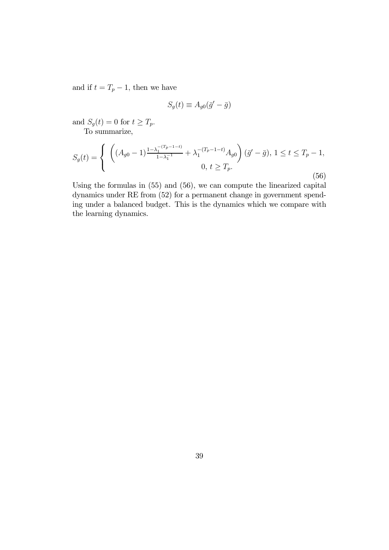and if  $t = T_p - 1$ , then we have

$$
S_g(t) \equiv A_{g0}(\bar{g}' - \bar{g})
$$

and  $S_g(t)=0$  for  $t \geq T_p$ . To summarize,

$$
S_g(t) = \begin{cases} \left( (A_{g0} - 1) \frac{1 - \lambda_1^{-(T_p - 1 - t)}}{1 - \lambda_1^{-1}} + \lambda_1^{-(T_p - 1 - t)} A_{g0} \right) (\bar{g}' - \bar{g}), \ 1 \le t \le T_p - 1, \\ 0, \ t \ge T_p. \end{cases}
$$
\n
$$
(56)
$$

Using the formulas in (55) and (56), we can compute the linearized capital dynamics under RE from (52) for a permanent change in government spending under a balanced budget. This is the dynamics which we compare with the learning dynamics.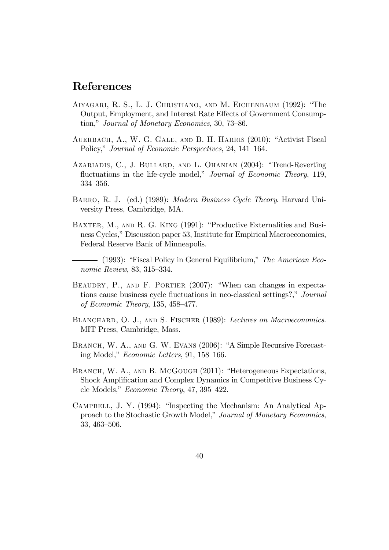## References

- Aiyagari, R. S., L. J. Christiano, and M. Eichenbaum (1992): "The Output, Employment, and Interest Rate Effects of Government Consumption," Journal of Monetary Economics, 30, 73—86.
- Auerbach, A., W. G. Gale, and B. H. Harris (2010): "Activist Fiscal Policy," Journal of Economic Perspectives, 24, 141—164.
- Azariadis, C., J. Bullard, and L. Ohanian (2004): "Trend-Reverting fluctuations in the life-cycle model," *Journal of Economic Theory*, 119, 334—356.
- BARRO, R. J. (ed.) (1989): *Modern Business Cycle Theory*. Harvard University Press, Cambridge, MA.
- Baxter, M., and R. G. King (1991): "Productive Externalities and Business Cycles," Discussion paper 53, Institute for Empirical Macroeconomics, Federal Reserve Bank of Minneapolis.

- (1993): "Fiscal Policy in General Equilibrium," The American Economic Review, 83, 315—334.

- BEAUDRY, P., AND F. PORTIER (2007): "When can changes in expectations cause business cycle fluctuations in neo-classical settings?," Journal of Economic Theory, 135, 458—477.
- BLANCHARD, O. J., AND S. FISCHER (1989): Lectures on Macroeconomics. MIT Press, Cambridge, Mass.
- BRANCH, W. A., AND G. W. EVANS (2006): "A Simple Recursive Forecasting Model," Economic Letters, 91, 158—166.
- BRANCH, W. A., AND B. MCGOUGH (2011): "Heterogeneous Expectations, Shock Amplification and Complex Dynamics in Competitive Business Cycle Models," Economic Theory, 47, 395—422.
- Campbell, J. Y. (1994): "Inspecting the Mechanism: An Analytical Approach to the Stochastic Growth Model," Journal of Monetary Economics, 33, 463—506.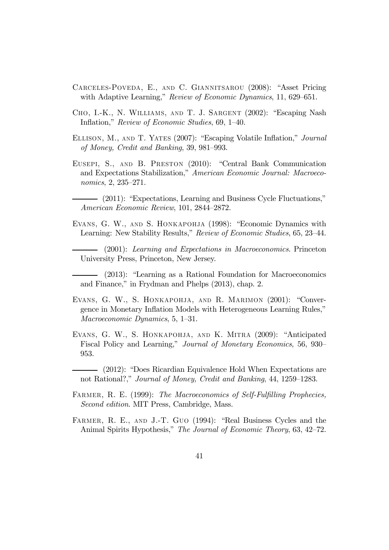- Carceles-Poveda, E., and C. Giannitsarou (2008): "Asset Pricing with Adaptive Learning," Review of Economic Dynamics, 11, 629-651.
- Cho, I.-K., N. Williams, and T. J. Sargent (2002): "Escaping Nash Inflation," Review of Economic Studies, 69, 1—40.
- Ellison, M., and T. Yates (2007): "Escaping Volatile Inflation," Journal of Money, Credit and Banking, 39, 981—993.
- EUSEPI, S., AND B. PRESTON (2010): "Central Bank Communication and Expectations Stabilization," American Economic Journal: Macroeconomics, 2, 235—271.
- (2011): "Expectations, Learning and Business Cycle Fluctuations," American Economic Review, 101, 2844—2872.
- EVANS, G. W., AND S. HONKAPOHJA (1998): "Economic Dynamics with Learning: New Stability Results," Review of Economic Studies, 65, 23—44.

(2001): Learning and Expectations in Macroeconomics. Princeton University Press, Princeton, New Jersey.

- (2013): "Learning as a Rational Foundation for Macroeconomics and Finance," in Frydman and Phelps (2013), chap. 2.
- EVANS, G. W., S. HONKAPOHJA, AND R. MARIMON (2001): "Convergence in Monetary Inflation Models with Heterogeneous Learning Rules," Macroeconomic Dynamics, 5, 1—31.
- EVANS, G. W., S. HONKAPOHJA, AND K. MITRA (2009): "Anticipated Fiscal Policy and Learning," Journal of Monetary Economics, 56, 930— 953.
- (2012): "Does Ricardian Equivalence Hold When Expectations are not Rational?," Journal of Money, Credit and Banking, 44, 1259—1283.
- FARMER, R. E. (1999): The Macroeconomics of Self-Fulfilling Prophecies, Second edition. MIT Press, Cambridge, Mass.
- FARMER, R. E., AND J.-T. GUO (1994): "Real Business Cycles and the Animal Spirits Hypothesis," The Journal of Economic Theory, 63, 42–72.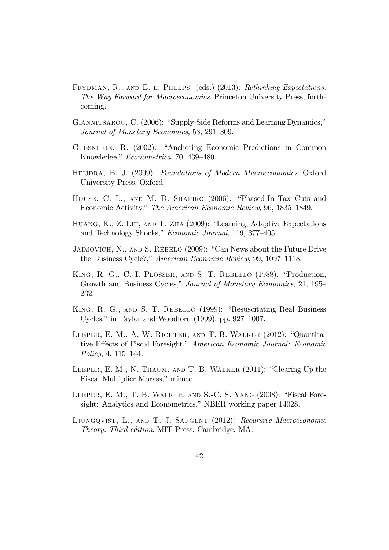- FRYDMAN, R., AND E. E. PHELPS (eds.) (2013): Rethinking Expectations: The Way Forward for Macroeconomics. Princeton University Press, forthcoming.
- GIANNITSAROU, C. (2006): "Supply-Side Reforms and Learning Dynamics," Journal of Monetary Economics, 53, 291—309.
- Guesnerie, R. (2002): "Anchoring Economic Predictions in Common Knowledge," Econometrica, 70, 439—480.
- HEIJDRA, B. J. (2009): Foundations of Modern Macroeconomics. Oxford University Press, Oxford.
- House, C. L., and M. D. Shapiro (2006): "Phased-In Tax Cuts and Economic Activity," The American Economic Review, 96, 1835—1849.
- Huang, K., Z. Liu, and T. Zha (2009): "Learning, Adaptive Expectations and Technology Shocks," Economic Journal, 119, 377—405.
- Jaimovich, N., and S. Rebelo (2009): "Can News about the Future Drive the Business Cycle?," American Economic Review, 99, 1097—1118.
- King, R. G., C. I. Plosser, and S. T. Rebello (1988): "Production, Growth and Business Cycles," Journal of Monetary Economics, 21, 195— 232.
- King, R. G., and S. T. Rebello (1999): "Resuscitating Real Business Cycles," in Taylor and Woodford (1999), pp. 927—1007.
- Leeper, E. M., A. W. Richter, and T. B. Walker (2012): "Quantitative Effects of Fiscal Foresight," American Economic Journal: Economic Policy, 4, 115—144.
- Leeper, E. M., N. Traum, and T. B. Walker (2011): "Clearing Up the Fiscal Multiplier Morass," mimeo.
- Leeper, E. M., T. B. Walker, and S.-C. S. Yang (2008): "Fiscal Foresight: Analytics and Econometrics," NBER working paper 14028.
- Ljungqvist, L., and T. J. Sargent (2012): Recursive Macroeconomic Theory, Third edition. MIT Press, Cambridge, MA.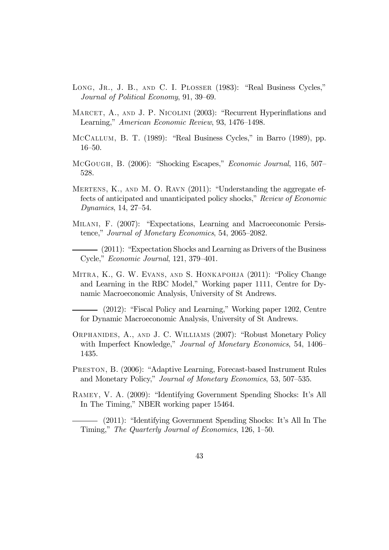- LONG, JR., J. B., AND C. I. PLOSSER (1983): "Real Business Cycles," Journal of Political Economy, 91, 39—69.
- MARCET, A., AND J. P. NICOLINI (2003): "Recurrent Hyperinflations and Learning," American Economic Review, 93, 1476—1498.
- McCallum, B. T. (1989): "Real Business Cycles," in Barro (1989), pp. 16—50.
- McGough, B. (2006): "Shocking Escapes," Economic Journal, 116, 507— 528.
- MERTENS, K., AND M. O. RAVN (2011): "Understanding the aggregate effects of anticipated and unanticipated policy shocks," Review of Economic Dynamics, 14, 27—54.
- Milani, F. (2007): "Expectations, Learning and Macroeconomic Persistence," Journal of Monetary Economics, 54, 2065—2082.

(2011): "Expectation Shocks and Learning as Drivers of the Business Cycle," Economic Journal, 121, 379—401.

Mitra, K., G. W. Evans, and S. Honkapohja (2011): "Policy Change and Learning in the RBC Model," Working paper 1111, Centre for Dynamic Macroeconomic Analysis, University of St Andrews.

(2012): "Fiscal Policy and Learning," Working paper 1202, Centre for Dynamic Macroeconomic Analysis, University of St Andrews.

- Orphanides, A., and J. C. Williams (2007): "Robust Monetary Policy with Imperfect Knowledge," Journal of Monetary Economics, 54, 1406— 1435.
- Preston, B. (2006): "Adaptive Learning, Forecast-based Instrument Rules and Monetary Policy," Journal of Monetary Economics, 53, 507—535.
- Ramey, V. A. (2009): "Identifying Government Spending Shocks: It's All In The Timing," NBER working paper 15464.

(2011): "Identifying Government Spending Shocks: It's All In The Timing," The Quarterly Journal of Economics, 126, 1—50.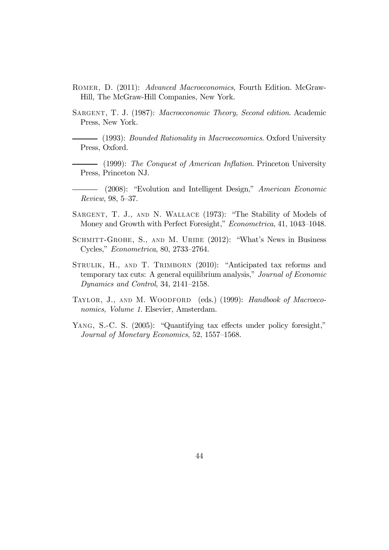- Romer, D. (2011): Advanced Macroeconomics, Fourth Edition. McGraw-Hill, The McGraw-Hill Companies, New York.
- SARGENT, T. J. (1987): Macroeconomic Theory, Second edition. Academic Press, New York.

(1993): Bounded Rationality in Macroeconomics. Oxford University Press, Oxford.

 $-$  (1999): The Conquest of American Inflation. Princeton University Press, Princeton NJ.

- (2008): "Evolution and Intelligent Design," American Economic Review, 98, 5—37.
- SARGENT, T. J., AND N. WALLACE (1973): "The Stability of Models of Money and Growth with Perfect Foresight," Econometrica, 41, 1043—1048.
- SCHMITT-GROHE, S., AND M. URIBE (2012): "What's News in Business Cycles," Econometrica, 80, 2733—2764.
- STRULIK, H., AND T. TRIMBORN (2010): "Anticipated tax reforms and temporary tax cuts: A general equilibrium analysis," Journal of Economic Dynamics and Control, 34, 2141—2158.
- TAYLOR, J., AND M. WOODFORD (eds.) (1999): Handbook of Macroeconomics, Volume 1. Elsevier, Amsterdam.
- YANG, S.-C. S.  $(2005)$ : "Quantifying tax effects under policy foresight," Journal of Monetary Economics, 52, 1557—1568.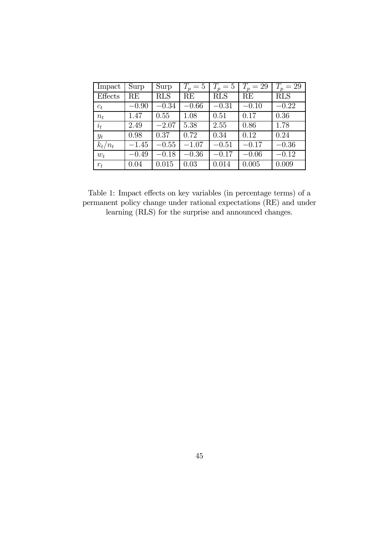| Impact           | Surp    | Surp       | $T_p=5$ | $T_p=5$    | $T_p = 29$ | $T_p = 29$ |
|------------------|---------|------------|---------|------------|------------|------------|
| Effects          | RE      | <b>RLS</b> | RE      | <b>RLS</b> | RE         | <b>RLS</b> |
| $c_t$            | $-0.90$ | $-0.34$    | $-0.66$ | $-0.31$    | $-0.10$    | $-0.22$    |
| $n_t$            | 1.47    | 0.55       | 1.08    | 0.51       | 0.17       | 0.36       |
| $\overline{i_t}$ | 2.49    | $-2.07$    | 5.38    | 2.55       | 0.86       | 1.78       |
| $y_t$            | 0.98    | 0.37       | 0.72    | 0.34       | 0.12       | 0.24       |
| $k_t/n_t$        | $-1.45$ | $-0.55$    | $-1.07$ | $-0.51$    | $-0.17$    | $-0.36$    |
| $w_t$            | $-0.49$ | $-0.18$    | $-0.36$ | $-0.17$    | $-0.06$    | $-0.12$    |
| $r_{t}$          | 0.04    | 0.015      | 0.03    | 0.014      | 0.005      | 0.009      |

Table 1: Impact effects on key variables (in percentage terms) of a permanent policy change under rational expectations (RE) and under learning (RLS) for the surprise and announced changes.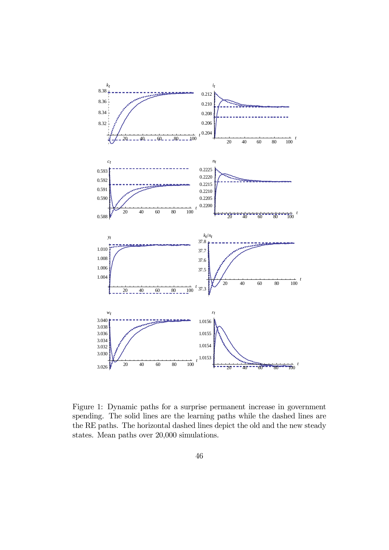

Figure 1: Dynamic paths for a surprise permanent increase in government spending. The solid lines are the learning paths while the dashed lines are the RE paths. The horizontal dashed lines depict the old and the new steady states. Mean paths over 20,000 simulations.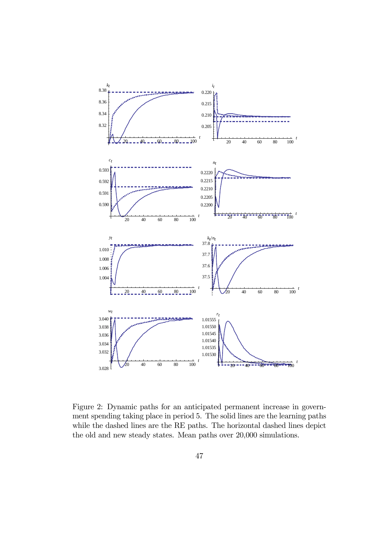

Figure 2: Dynamic paths for an anticipated permanent increase in government spending taking place in period 5. The solid lines are the learning paths while the dashed lines are the RE paths. The horizontal dashed lines depict the old and new steady states. Mean paths over 20,000 simulations.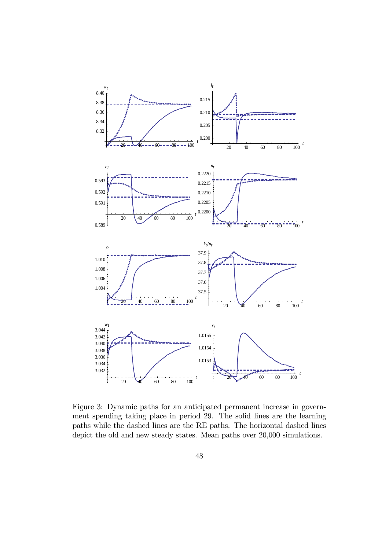

Figure 3: Dynamic paths for an anticipated permanent increase in government spending taking place in period 29. The solid lines are the learning paths while the dashed lines are the RE paths. The horizontal dashed lines depict the old and new steady states. Mean paths over 20,000 simulations.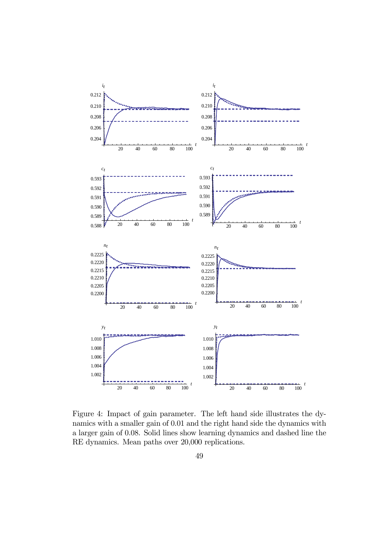

Figure 4: Impact of gain parameter. The left hand side illustrates the dynamics with a smaller gain of 0.01 and the right hand side the dynamics with a larger gain of 0.08. Solid lines show learning dynamics and dashed line the RE dynamics. Mean paths over 20,000 replications.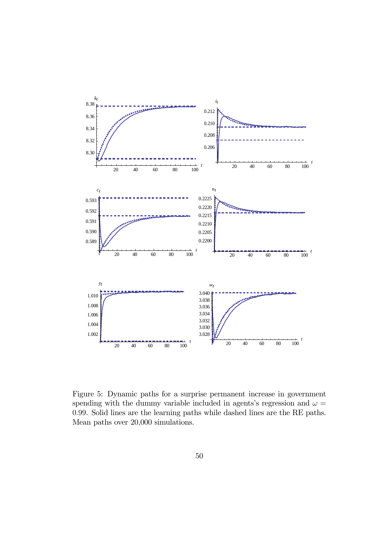

Figure 5: Dynamic paths for a surprise permanent increase in government spending with the dummy variable included in agents's regression and  $\omega =$ 0.99. Solid lines are the learning paths while dashed lines are the RE paths. Mean paths over 20,000 simulations.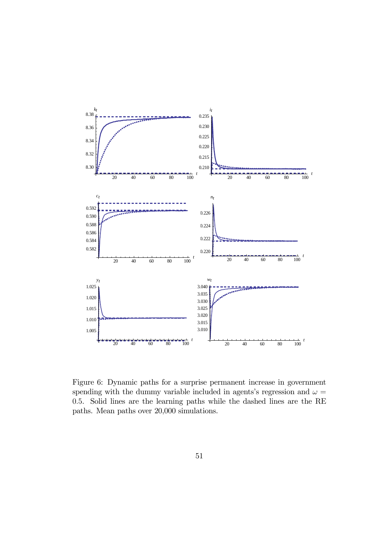

Figure 6: Dynamic paths for a surprise permanent increase in government spending with the dummy variable included in agents's regression and  $\omega =$ 05. Solid lines are the learning paths while the dashed lines are the RE paths. Mean paths over 20,000 simulations.